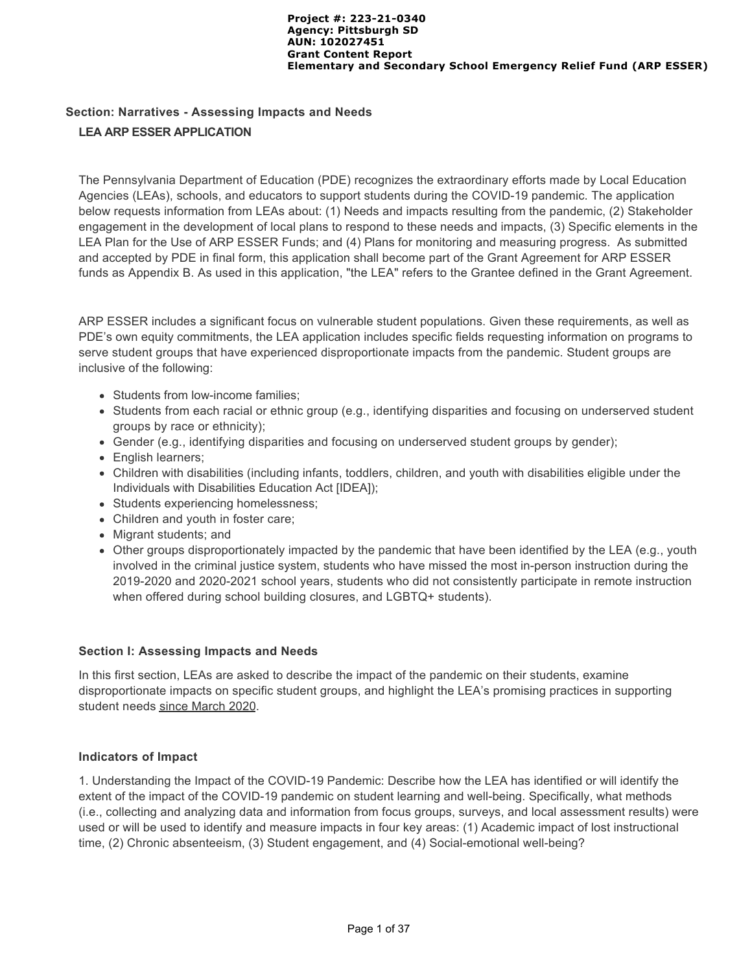# **Section: Narratives - Assessing Impacts and Needs LEA ARP ESSER APPLICATION**

The Pennsylvania Department of Education (PDE) recognizes the extraordinary efforts made by Local Education Agencies (LEAs), schools, and educators to support students during the COVID-19 pandemic. The application below requests information from LEAs about: (1) Needs and impacts resulting from the pandemic, (2) Stakeholder engagement in the development of local plans to respond to these needs and impacts, (3) Specific elements in the LEA Plan for the Use of ARP ESSER Funds; and (4) Plans for monitoring and measuring progress. As submitted and accepted by PDE in final form, this application shall become part of the Grant Agreement for ARP ESSER funds as Appendix B. As used in this application, "the LEA" refers to the Grantee defined in the Grant Agreement.

ARP ESSER includes a significant focus on vulnerable student populations. Given these requirements, as well as PDE's own equity commitments, the LEA application includes specific fields requesting information on programs to serve student groups that have experienced disproportionate impacts from the pandemic. Student groups are inclusive of the following:

- Students from low-income families:
- Students from each racial or ethnic group (e.g., identifying disparities and focusing on underserved student groups by race or ethnicity);
- Gender (e.g., identifying disparities and focusing on underserved student groups by gender);
- English learners;
- Children with disabilities (including infants, toddlers, children, and youth with disabilities eligible under the Individuals with Disabilities Education Act [IDEA]);
- Students experiencing homelessness;
- Children and youth in foster care;
- Migrant students; and
- Other groups disproportionately impacted by the pandemic that have been identified by the LEA (e.g., youth involved in the criminal justice system, students who have missed the most in-person instruction during the 2019-2020 and 2020-2021 school years, students who did not consistently participate in remote instruction when offered during school building closures, and LGBTQ+ students).

### **Section I: Assessing Impacts and Needs**

In this first section, LEAs are asked to describe the impact of the pandemic on their students, examine disproportionate impacts on specific student groups, and highlight the LEA's promising practices in supporting student needs since March 2020.

### **Indicators of Impact**

1. Understanding the Impact of the COVID-19 Pandemic: Describe how the LEA has identified or will identify the extent of the impact of the COVID-19 pandemic on student learning and well-being. Specifically, what methods (i.e., collecting and analyzing data and information from focus groups, surveys, and local assessment results) were used or will be used to identify and measure impacts in four key areas: (1) Academic impact of lost instructional time, (2) Chronic absenteeism, (3) Student engagement, and (4) Social-emotional well-being?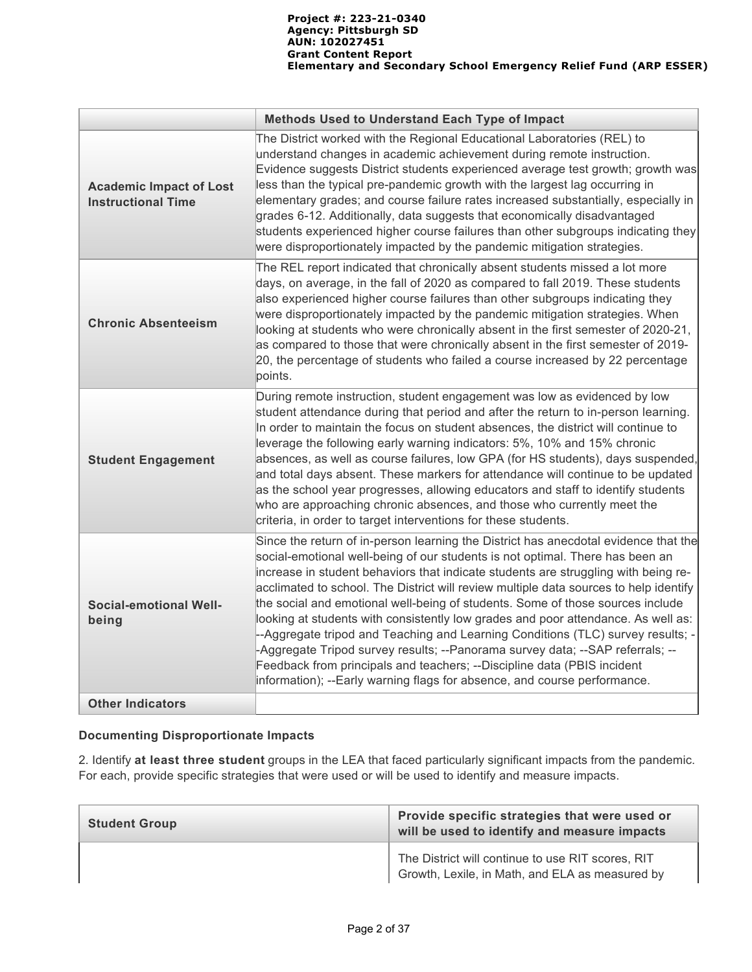|                                                             | <b>Methods Used to Understand Each Type of Impact</b>                                                                                                                                                                                                                                                                                                                                                                                                                                                                                                                                                                                                                                                                                                                                                                                                 |
|-------------------------------------------------------------|-------------------------------------------------------------------------------------------------------------------------------------------------------------------------------------------------------------------------------------------------------------------------------------------------------------------------------------------------------------------------------------------------------------------------------------------------------------------------------------------------------------------------------------------------------------------------------------------------------------------------------------------------------------------------------------------------------------------------------------------------------------------------------------------------------------------------------------------------------|
| <b>Academic Impact of Lost</b><br><b>Instructional Time</b> | The District worked with the Regional Educational Laboratories (REL) to<br>understand changes in academic achievement during remote instruction.<br>Evidence suggests District students experienced average test growth; growth was<br>less than the typical pre-pandemic growth with the largest lag occurring in<br>elementary grades; and course failure rates increased substantially, especially in<br>grades 6-12. Additionally, data suggests that economically disadvantaged<br>students experienced higher course failures than other subgroups indicating they<br>were disproportionately impacted by the pandemic mitigation strategies.                                                                                                                                                                                                   |
| <b>Chronic Absenteeism</b>                                  | The REL report indicated that chronically absent students missed a lot more<br>days, on average, in the fall of 2020 as compared to fall 2019. These students<br>also experienced higher course failures than other subgroups indicating they<br>were disproportionately impacted by the pandemic mitigation strategies. When<br>looking at students who were chronically absent in the first semester of 2020-21,<br>as compared to those that were chronically absent in the first semester of 2019-<br>20, the percentage of students who failed a course increased by 22 percentage<br>points.                                                                                                                                                                                                                                                    |
| <b>Student Engagement</b>                                   | During remote instruction, student engagement was low as evidenced by low<br>student attendance during that period and after the return to in-person learning.<br>In order to maintain the focus on student absences, the district will continue to<br>leverage the following early warning indicators: 5%, 10% and 15% chronic<br>absences, as well as course failures, low GPA (for HS students), days suspended,<br>and total days absent. These markers for attendance will continue to be updated<br>as the school year progresses, allowing educators and staff to identify students<br>who are approaching chronic absences, and those who currently meet the<br>criteria, in order to target interventions for these students.                                                                                                                |
| <b>Social-emotional Well-</b><br>being                      | Since the return of in-person learning the District has anecdotal evidence that the<br>social-emotional well-being of our students is not optimal. There has been an<br>increase in student behaviors that indicate students are struggling with being re-<br>acclimated to school. The District will review multiple data sources to help identify<br>the social and emotional well-being of students. Some of those sources include<br>looking at students with consistently low grades and poor attendance. As well as:<br>--Aggregate tripod and Teaching and Learning Conditions (TLC) survey results; -<br>-Aggregate Tripod survey results; --Panorama survey data; --SAP referrals; --<br>Feedback from principals and teachers; --Discipline data (PBIS incident<br>information); --Early warning flags for absence, and course performance. |
| <b>Other Indicators</b>                                     |                                                                                                                                                                                                                                                                                                                                                                                                                                                                                                                                                                                                                                                                                                                                                                                                                                                       |

# **Documenting Disproportionate Impacts**

2. Identify **at least three student** groups in the LEA that faced particularly significant impacts from the pandemic. For each, provide specific strategies that were used or will be used to identify and measure impacts.

| <b>Student Group</b> | Provide specific strategies that were used or<br>will be used to identify and measure impacts        |
|----------------------|------------------------------------------------------------------------------------------------------|
|                      | The District will continue to use RIT scores, RIT<br>Growth, Lexile, in Math, and ELA as measured by |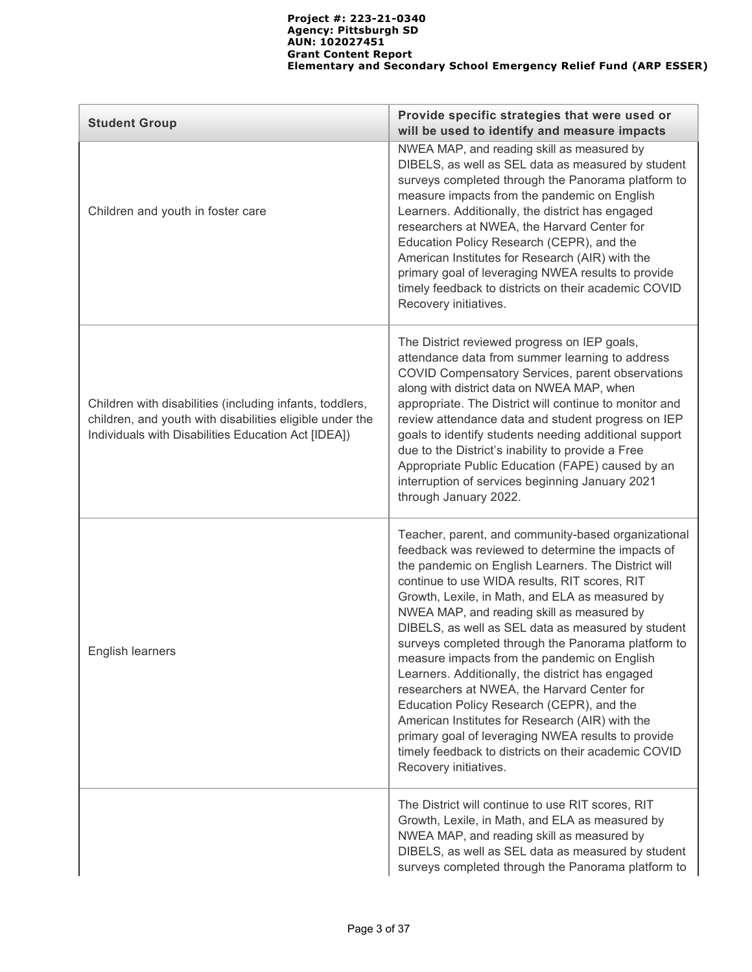| <b>Student Group</b>                                                                                                                                                        | Provide specific strategies that were used or<br>will be used to identify and measure impacts                                                                                                                                                                                                                                                                                                                                                                                                                                                                                                                                                                                                                                                                                                                           |
|-----------------------------------------------------------------------------------------------------------------------------------------------------------------------------|-------------------------------------------------------------------------------------------------------------------------------------------------------------------------------------------------------------------------------------------------------------------------------------------------------------------------------------------------------------------------------------------------------------------------------------------------------------------------------------------------------------------------------------------------------------------------------------------------------------------------------------------------------------------------------------------------------------------------------------------------------------------------------------------------------------------------|
| Children and youth in foster care                                                                                                                                           | NWEA MAP, and reading skill as measured by<br>DIBELS, as well as SEL data as measured by student<br>surveys completed through the Panorama platform to<br>measure impacts from the pandemic on English<br>Learners. Additionally, the district has engaged<br>researchers at NWEA, the Harvard Center for<br>Education Policy Research (CEPR), and the<br>American Institutes for Research (AIR) with the<br>primary goal of leveraging NWEA results to provide<br>timely feedback to districts on their academic COVID<br>Recovery initiatives.                                                                                                                                                                                                                                                                        |
| Children with disabilities (including infants, toddlers,<br>children, and youth with disabilities eligible under the<br>Individuals with Disabilities Education Act [IDEA]) | The District reviewed progress on IEP goals,<br>attendance data from summer learning to address<br>COVID Compensatory Services, parent observations<br>along with district data on NWEA MAP, when<br>appropriate. The District will continue to monitor and<br>review attendance data and student progress on IEP<br>goals to identify students needing additional support<br>due to the District's inability to provide a Free<br>Appropriate Public Education (FAPE) caused by an<br>interruption of services beginning January 2021<br>through January 2022.                                                                                                                                                                                                                                                         |
| English learners                                                                                                                                                            | Teacher, parent, and community-based organizational<br>feedback was reviewed to determine the impacts of<br>the pandemic on English Learners. The District will<br>continue to use WIDA results, RIT scores, RIT<br>Growth, Lexile, in Math, and ELA as measured by<br>NWEA MAP, and reading skill as measured by<br>DIBELS, as well as SEL data as measured by student<br>surveys completed through the Panorama platform to<br>measure impacts from the pandemic on English<br>Learners. Additionally, the district has engaged<br>researchers at NWEA, the Harvard Center for<br>Education Policy Research (CEPR), and the<br>American Institutes for Research (AIR) with the<br>primary goal of leveraging NWEA results to provide<br>timely feedback to districts on their academic COVID<br>Recovery initiatives. |
|                                                                                                                                                                             | The District will continue to use RIT scores, RIT<br>Growth, Lexile, in Math, and ELA as measured by<br>NWEA MAP, and reading skill as measured by<br>DIBELS, as well as SEL data as measured by student<br>surveys completed through the Panorama platform to                                                                                                                                                                                                                                                                                                                                                                                                                                                                                                                                                          |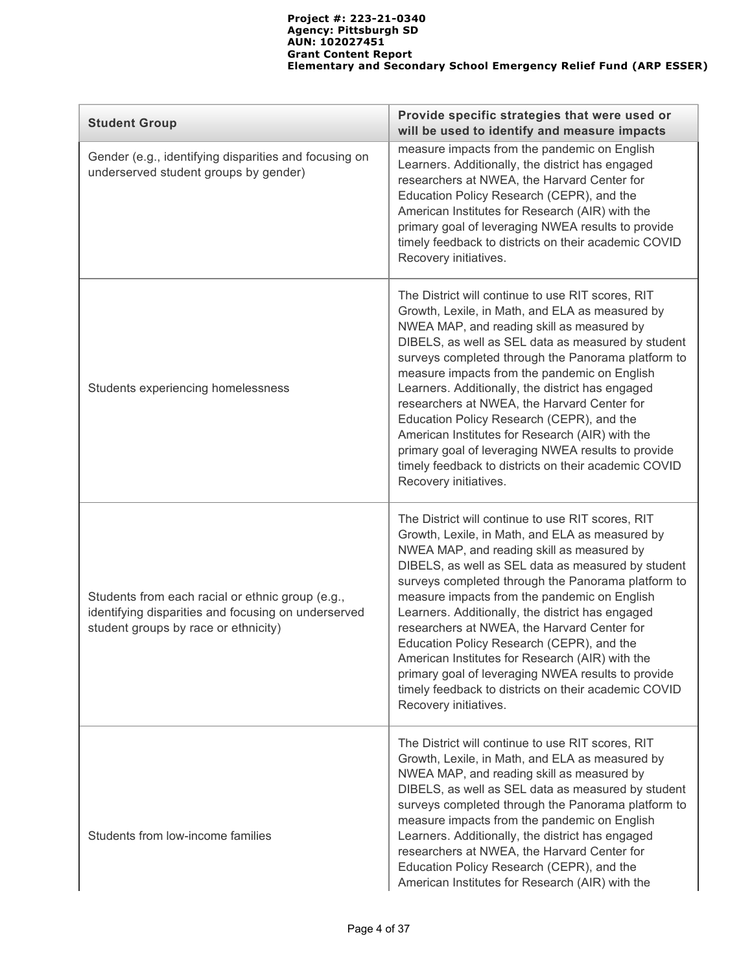| <b>Student Group</b>                                                                                                                            | Provide specific strategies that were used or<br>will be used to identify and measure impacts                                                                                                                                                                                                                                                                                                                                                                                                                                                                                                                                                            |
|-------------------------------------------------------------------------------------------------------------------------------------------------|----------------------------------------------------------------------------------------------------------------------------------------------------------------------------------------------------------------------------------------------------------------------------------------------------------------------------------------------------------------------------------------------------------------------------------------------------------------------------------------------------------------------------------------------------------------------------------------------------------------------------------------------------------|
| Gender (e.g., identifying disparities and focusing on<br>underserved student groups by gender)                                                  | measure impacts from the pandemic on English<br>Learners. Additionally, the district has engaged<br>researchers at NWEA, the Harvard Center for<br>Education Policy Research (CEPR), and the<br>American Institutes for Research (AIR) with the<br>primary goal of leveraging NWEA results to provide<br>timely feedback to districts on their academic COVID<br>Recovery initiatives.                                                                                                                                                                                                                                                                   |
| Students experiencing homelessness                                                                                                              | The District will continue to use RIT scores, RIT<br>Growth, Lexile, in Math, and ELA as measured by<br>NWEA MAP, and reading skill as measured by<br>DIBELS, as well as SEL data as measured by student<br>surveys completed through the Panorama platform to<br>measure impacts from the pandemic on English<br>Learners. Additionally, the district has engaged<br>researchers at NWEA, the Harvard Center for<br>Education Policy Research (CEPR), and the<br>American Institutes for Research (AIR) with the<br>primary goal of leveraging NWEA results to provide<br>timely feedback to districts on their academic COVID<br>Recovery initiatives. |
| Students from each racial or ethnic group (e.g.,<br>identifying disparities and focusing on underserved<br>student groups by race or ethnicity) | The District will continue to use RIT scores, RIT<br>Growth, Lexile, in Math, and ELA as measured by<br>NWEA MAP, and reading skill as measured by<br>DIBELS, as well as SEL data as measured by student<br>surveys completed through the Panorama platform to<br>measure impacts from the pandemic on English<br>Learners. Additionally, the district has engaged<br>researchers at NWEA, the Harvard Center for<br>Education Policy Research (CEPR), and the<br>American Institutes for Research (AIR) with the<br>primary goal of leveraging NWEA results to provide<br>timely feedback to districts on their academic COVID<br>Recovery initiatives. |
| Students from low-income families                                                                                                               | The District will continue to use RIT scores, RIT<br>Growth, Lexile, in Math, and ELA as measured by<br>NWEA MAP, and reading skill as measured by<br>DIBELS, as well as SEL data as measured by student<br>surveys completed through the Panorama platform to<br>measure impacts from the pandemic on English<br>Learners. Additionally, the district has engaged<br>researchers at NWEA, the Harvard Center for<br>Education Policy Research (CEPR), and the<br>American Institutes for Research (AIR) with the                                                                                                                                        |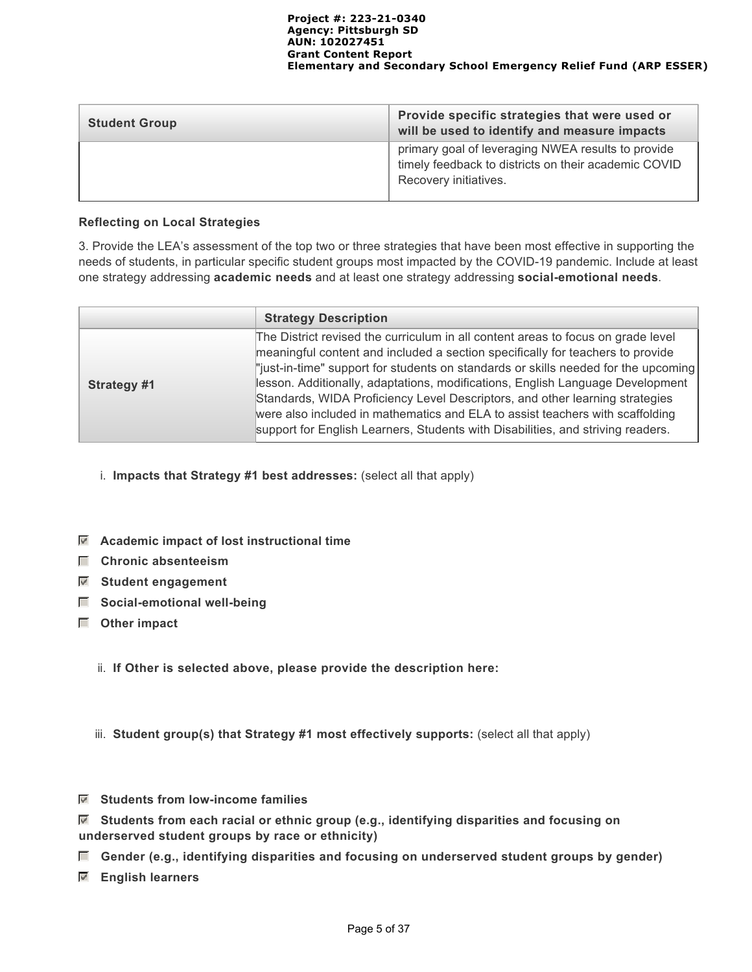| <b>Student Group</b> | Provide specific strategies that were used or<br>will be used to identify and measure impacts                                       |
|----------------------|-------------------------------------------------------------------------------------------------------------------------------------|
|                      | primary goal of leveraging NWEA results to provide<br>timely feedback to districts on their academic COVID<br>Recovery initiatives. |

### **Reflecting on Local Strategies**

3. Provide the LEA's assessment of the top two or three strategies that have been most effective in supporting the needs of students, in particular specific student groups most impacted by the COVID-19 pandemic. Include at least one strategy addressing **academic needs** and at least one strategy addressing **social-emotional needs**.

|             | <b>Strategy Description</b>                                                                                                                                                                                                                                                                                                                                                                                                                                                                                                                                                                    |
|-------------|------------------------------------------------------------------------------------------------------------------------------------------------------------------------------------------------------------------------------------------------------------------------------------------------------------------------------------------------------------------------------------------------------------------------------------------------------------------------------------------------------------------------------------------------------------------------------------------------|
| Strategy #1 | The District revised the curriculum in all content areas to focus on grade level<br>meaningful content and included a section specifically for teachers to provide<br>"just-in-time" support for students on standards or skills needed for the upcoming<br>lesson. Additionally, adaptations, modifications, English Language Development<br>Standards, WIDA Proficiency Level Descriptors, and other learning strategies<br>were also included in mathematics and ELA to assist teachers with scaffolding<br>support for English Learners, Students with Disabilities, and striving readers. |

- i. **Impacts that Strategy #1 best addresses:** (select all that apply)
- **Academic impact of lost instructional time**
- **Chronic absenteeism**
- **Student engagement**
- $\Box$  Social-emotional well-being
- **Other impact**
	- ii. **If Other is selected above, please provide the description here:**
	- iii. **Student group(s) that Strategy #1 most effectively supports:** (select all that apply)
- **Students from low-income families**

 **Students from each racial or ethnic group (e.g., identifying disparities and focusing on underserved student groups by race or ethnicity)**

- **Gender (e.g., identifying disparities and focusing on underserved student groups by gender)**
- **English learners**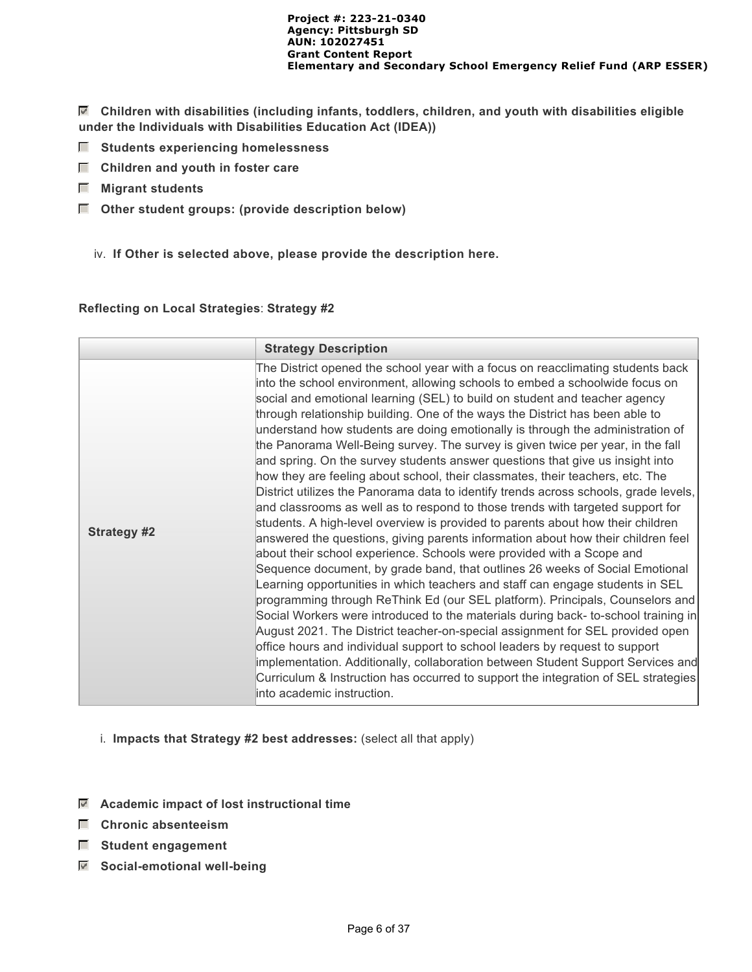**Children with disabilities (including infants, toddlers, children, and youth with disabilities eligible under the Individuals with Disabilities Education Act (IDEA))**

- **Students experiencing homelessness**
- $\Box$  Children and youth in foster care
- **Migrant students**
- **Other student groups: (provide description below)**
	- iv. **If Other is selected above, please provide the description here.**

#### **Reflecting on Local Strategies**: **Strategy #2**

|                    | <b>Strategy Description</b>                                                                                                                                                                                                                                                                                                                                                                                                                                                                                                                                                                                                                                                                                                                                                                                                                                                                                                                                                                                                                                                                                                                                                                                                                                                                                                                                                                                                                                                                                                                                                                                                                                                                                                                                                                                    |
|--------------------|----------------------------------------------------------------------------------------------------------------------------------------------------------------------------------------------------------------------------------------------------------------------------------------------------------------------------------------------------------------------------------------------------------------------------------------------------------------------------------------------------------------------------------------------------------------------------------------------------------------------------------------------------------------------------------------------------------------------------------------------------------------------------------------------------------------------------------------------------------------------------------------------------------------------------------------------------------------------------------------------------------------------------------------------------------------------------------------------------------------------------------------------------------------------------------------------------------------------------------------------------------------------------------------------------------------------------------------------------------------------------------------------------------------------------------------------------------------------------------------------------------------------------------------------------------------------------------------------------------------------------------------------------------------------------------------------------------------------------------------------------------------------------------------------------------------|
| <b>Strategy #2</b> | The District opened the school year with a focus on reacclimating students back<br>into the school environment, allowing schools to embed a schoolwide focus on<br>social and emotional learning (SEL) to build on student and teacher agency<br>through relationship building. One of the ways the District has been able to<br>understand how students are doing emotionally is through the administration of<br>the Panorama Well-Being survey. The survey is given twice per year, in the fall<br>and spring. On the survey students answer questions that give us insight into<br>how they are feeling about school, their classmates, their teachers, etc. The<br>District utilizes the Panorama data to identify trends across schools, grade levels,<br>and classrooms as well as to respond to those trends with targeted support for<br>students. A high-level overview is provided to parents about how their children<br>answered the questions, giving parents information about how their children feel<br>about their school experience. Schools were provided with a Scope and<br>Sequence document, by grade band, that outlines 26 weeks of Social Emotional<br>Learning opportunities in which teachers and staff can engage students in SEL<br>programming through ReThink Ed (our SEL platform). Principals, Counselors and<br>Social Workers were introduced to the materials during back- to-school training in<br>August 2021. The District teacher-on-special assignment for SEL provided open<br>office hours and individual support to school leaders by request to support<br>implementation. Additionally, collaboration between Student Support Services and<br>Curriculum & Instruction has occurred to support the integration of SEL strategies<br>into academic instruction. |

- i. **Impacts that Strategy #2 best addresses:** (select all that apply)
- **Academic impact of lost instructional time**
- **Chronic absenteeism**
- **F** Student engagement
- **Social-emotional well-being**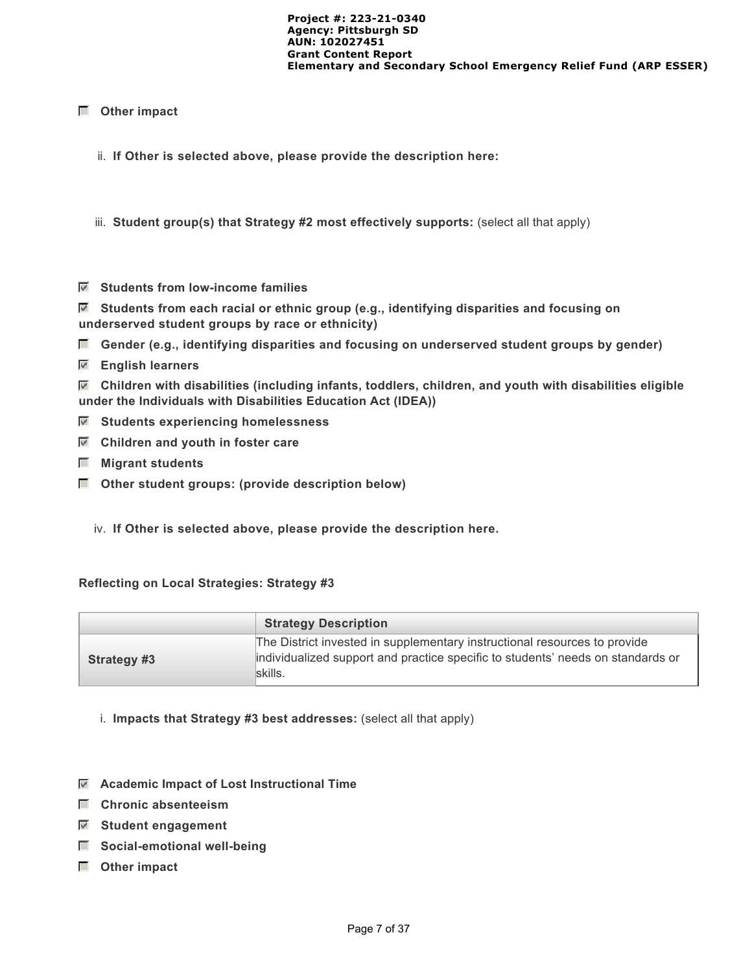### **Other impact**

- ii. **If Other is selected above, please provide the description here:**
- iii. **Student group(s) that Strategy #2 most effectively supports:** (select all that apply)
- **Students from low-income families**

 **Students from each racial or ethnic group (e.g., identifying disparities and focusing on underserved student groups by race or ethnicity)**

- **Gender (e.g., identifying disparities and focusing on underserved student groups by gender)**
- **English learners**

 **Children with disabilities (including infants, toddlers, children, and youth with disabilities eligible under the Individuals with Disabilities Education Act (IDEA))**

- **Students experiencing homelessness**
- **Children and youth in foster care**
- **Migrant students**
- **Other student groups: (provide description below)**
	- iv. **If Other is selected above, please provide the description here.**

#### **Reflecting on Local Strategies: Strategy #3**

|                    | <b>Strategy Description</b>                                                                                                                                             |
|--------------------|-------------------------------------------------------------------------------------------------------------------------------------------------------------------------|
| <b>Strategy #3</b> | The District invested in supplementary instructional resources to provide<br>individualized support and practice specific to students' needs on standards or<br>skills. |

- i. **Impacts that Strategy #3 best addresses:** (select all that apply)
- **Academic Impact of Lost Instructional Time**
- **Chronic absenteeism**
- **Student engagement**
- $\Box$  Social-emotional well-being
- **Other impact**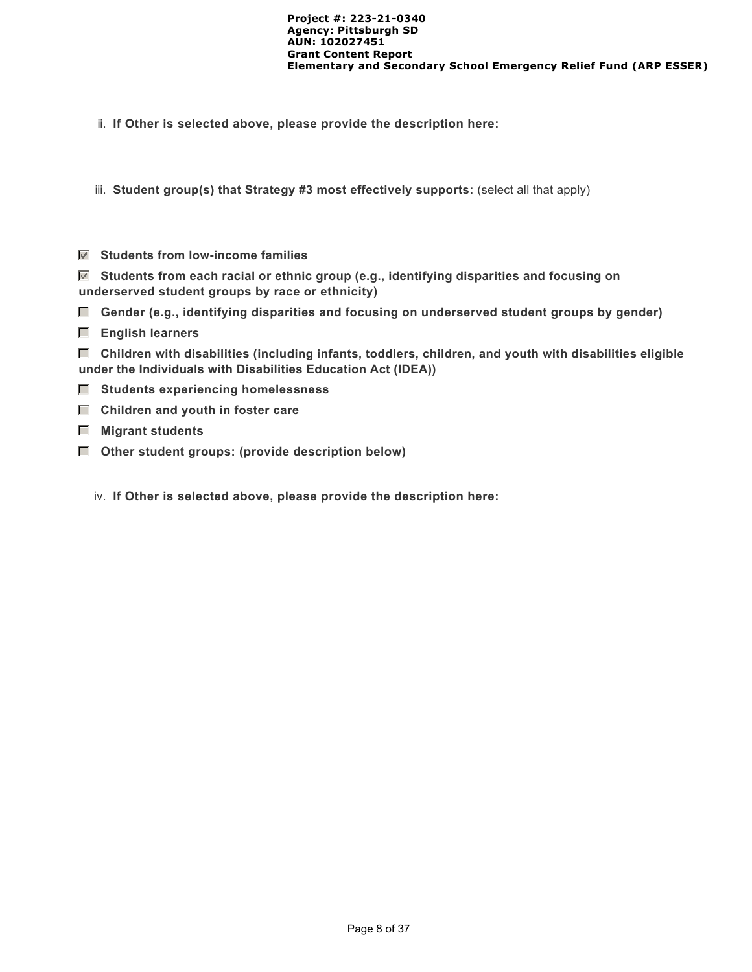ii. **If Other is selected above, please provide the description here:**

iii. **Student group(s) that Strategy #3 most effectively supports:** (select all that apply)

 **Students from low-income families**

 **Students from each racial or ethnic group (e.g., identifying disparities and focusing on underserved student groups by race or ethnicity)**

 **Gender (e.g., identifying disparities and focusing on underserved student groups by gender)**

 **English learners**

 **Children with disabilities (including infants, toddlers, children, and youth with disabilities eligible under the Individuals with Disabilities Education Act (IDEA))**

- $\blacksquare$  Students experiencing homelessness
- $\Box$  Children and youth in foster care
- **Migrant students**
- **Other student groups: (provide description below)**
	- iv. **If Other is selected above, please provide the description here:**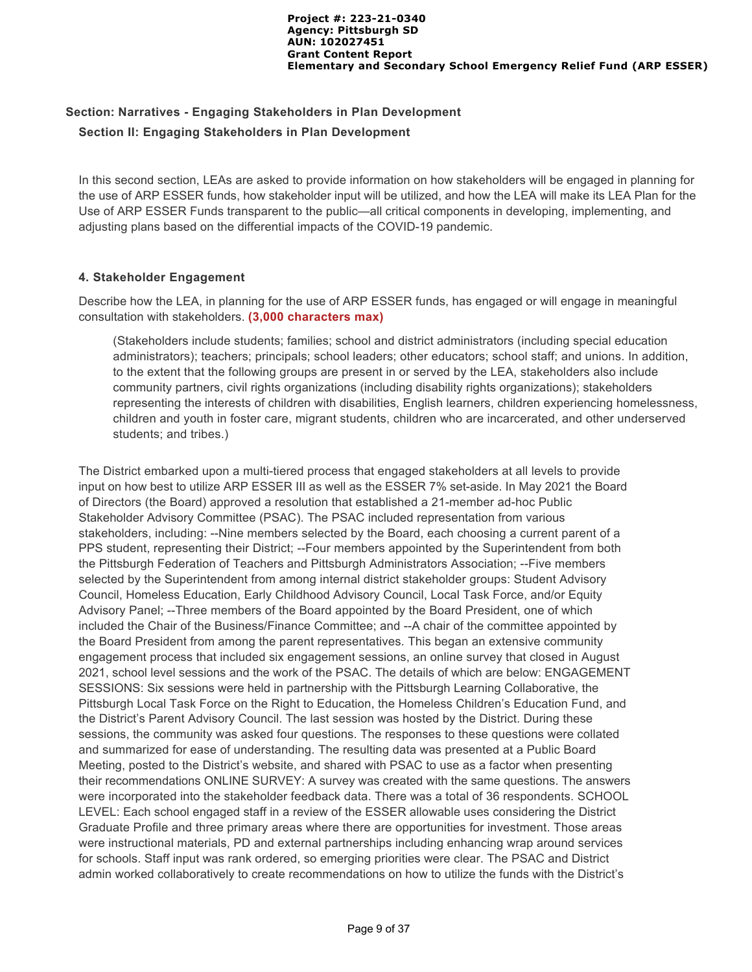# **Section: Narratives - Engaging Stakeholders in Plan Development Section II: Engaging Stakeholders in Plan Development**

In this second section, LEAs are asked to provide information on how stakeholders will be engaged in planning for the use of ARP ESSER funds, how stakeholder input will be utilized, and how the LEA will make its LEA Plan for the Use of ARP ESSER Funds transparent to the public—all critical components in developing, implementing, and adjusting plans based on the differential impacts of the COVID-19 pandemic.

### **4. Stakeholder Engagement**

Describe how the LEA, in planning for the use of ARP ESSER funds, has engaged or will engage in meaningful consultation with stakeholders. **(3,000 characters max)**

(Stakeholders include students; families; school and district administrators (including special education administrators); teachers; principals; school leaders; other educators; school staff; and unions. In addition, to the extent that the following groups are present in or served by the LEA, stakeholders also include community partners, civil rights organizations (including disability rights organizations); stakeholders representing the interests of children with disabilities, English learners, children experiencing homelessness, children and youth in foster care, migrant students, children who are incarcerated, and other underserved students; and tribes.)

The District embarked upon a multi-tiered process that engaged stakeholders at all levels to provide input on how best to utilize ARP ESSER III as well as the ESSER 7% set-aside. In May 2021 the Board of Directors (the Board) approved a resolution that established a 21-member ad-hoc Public Stakeholder Advisory Committee (PSAC). The PSAC included representation from various stakeholders, including: --Nine members selected by the Board, each choosing a current parent of a PPS student, representing their District; --Four members appointed by the Superintendent from both the Pittsburgh Federation of Teachers and Pittsburgh Administrators Association; --Five members selected by the Superintendent from among internal district stakeholder groups: Student Advisory Council, Homeless Education, Early Childhood Advisory Council, Local Task Force, and/or Equity Advisory Panel; --Three members of the Board appointed by the Board President, one of which included the Chair of the Business/Finance Committee; and --A chair of the committee appointed by the Board President from among the parent representatives. This began an extensive community engagement process that included six engagement sessions, an online survey that closed in August 2021, school level sessions and the work of the PSAC. The details of which are below: ENGAGEMENT SESSIONS: Six sessions were held in partnership with the Pittsburgh Learning Collaborative, the Pittsburgh Local Task Force on the Right to Education, the Homeless Children's Education Fund, and the District's Parent Advisory Council. The last session was hosted by the District. During these sessions, the community was asked four questions. The responses to these questions were collated and summarized for ease of understanding. The resulting data was presented at a Public Board Meeting, posted to the District's website, and shared with PSAC to use as a factor when presenting their recommendations ONLINE SURVEY: A survey was created with the same questions. The answers were incorporated into the stakeholder feedback data. There was a total of 36 respondents. SCHOOL LEVEL: Each school engaged staff in a review of the ESSER allowable uses considering the District Graduate Profile and three primary areas where there are opportunities for investment. Those areas were instructional materials, PD and external partnerships including enhancing wrap around services for schools. Staff input was rank ordered, so emerging priorities were clear. The PSAC and District admin worked collaboratively to create recommendations on how to utilize the funds with the District's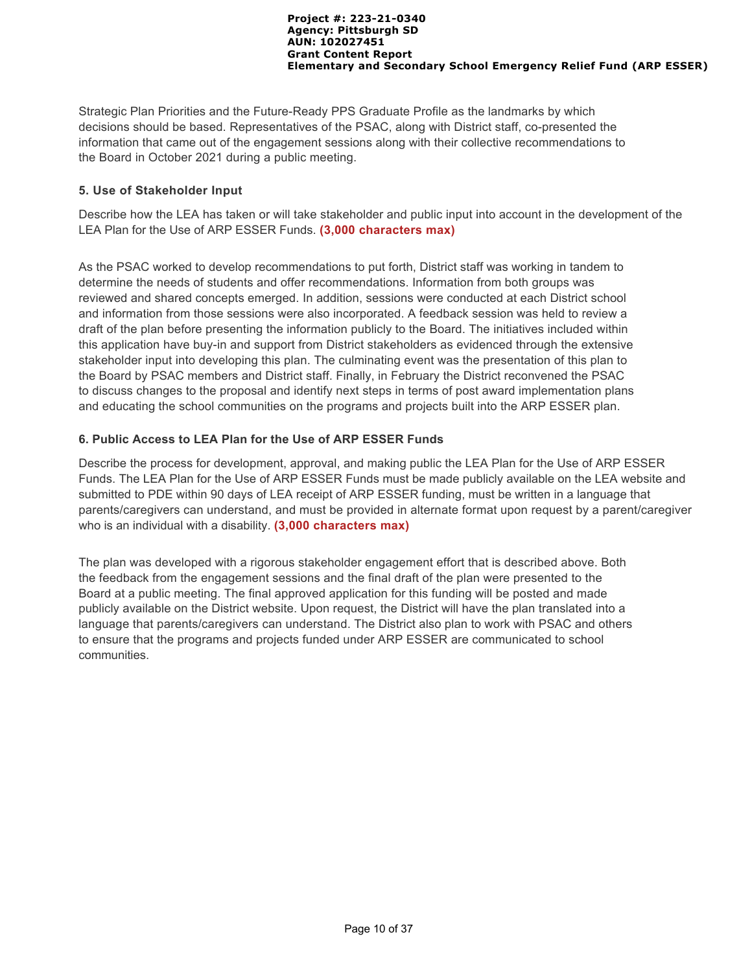Strategic Plan Priorities and the Future-Ready PPS Graduate Profile as the landmarks by which decisions should be based. Representatives of the PSAC, along with District staff, co-presented the information that came out of the engagement sessions along with their collective recommendations to the Board in October 2021 during a public meeting.

### **5. Use of Stakeholder Input**

Describe how the LEA has taken or will take stakeholder and public input into account in the development of the LEA Plan for the Use of ARP ESSER Funds. **(3,000 characters max)**

As the PSAC worked to develop recommendations to put forth, District staff was working in tandem to determine the needs of students and offer recommendations. Information from both groups was reviewed and shared concepts emerged. In addition, sessions were conducted at each District school and information from those sessions were also incorporated. A feedback session was held to review a draft of the plan before presenting the information publicly to the Board. The initiatives included within this application have buy-in and support from District stakeholders as evidenced through the extensive stakeholder input into developing this plan. The culminating event was the presentation of this plan to the Board by PSAC members and District staff. Finally, in February the District reconvened the PSAC to discuss changes to the proposal and identify next steps in terms of post award implementation plans and educating the school communities on the programs and projects built into the ARP ESSER plan.

### **6. Public Access to LEA Plan for the Use of ARP ESSER Funds**

Describe the process for development, approval, and making public the LEA Plan for the Use of ARP ESSER Funds. The LEA Plan for the Use of ARP ESSER Funds must be made publicly available on the LEA website and submitted to PDE within 90 days of LEA receipt of ARP ESSER funding, must be written in a language that parents/caregivers can understand, and must be provided in alternate format upon request by a parent/caregiver who is an individual with a disability. **(3,000 characters max)**

The plan was developed with a rigorous stakeholder engagement effort that is described above. Both the feedback from the engagement sessions and the final draft of the plan were presented to the Board at a public meeting. The final approved application for this funding will be posted and made publicly available on the District website. Upon request, the District will have the plan translated into a language that parents/caregivers can understand. The District also plan to work with PSAC and others to ensure that the programs and projects funded under ARP ESSER are communicated to school communities.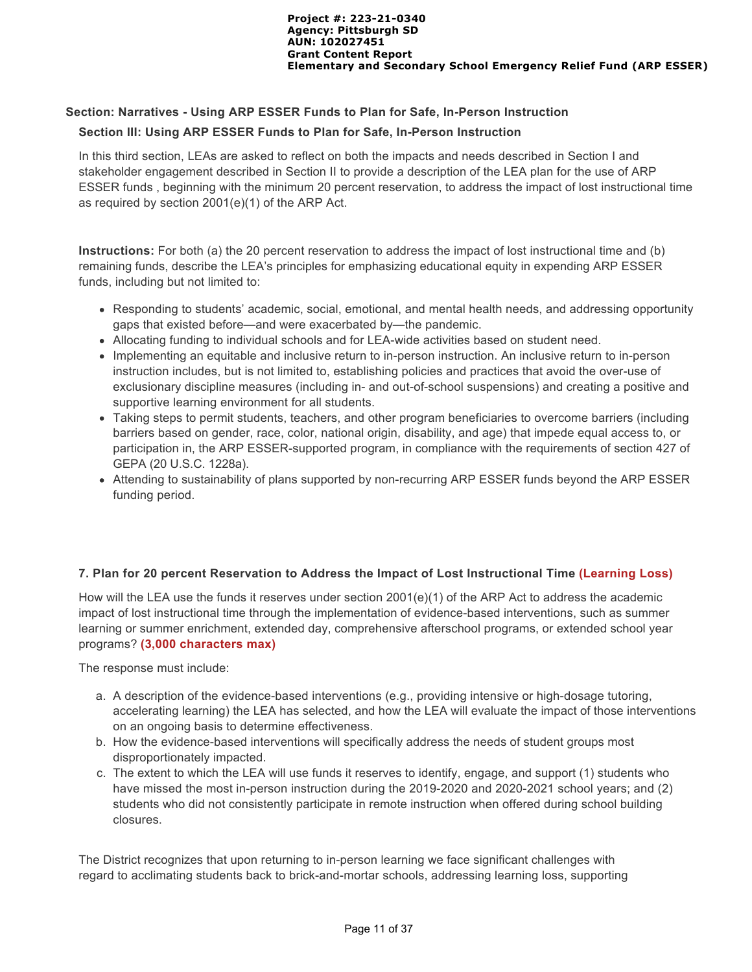### **Section: Narratives - Using ARP ESSER Funds to Plan for Safe, In-Person Instruction**

### **Section III: Using ARP ESSER Funds to Plan for Safe, In-Person Instruction**

In this third section, LEAs are asked to reflect on both the impacts and needs described in Section I and stakeholder engagement described in Section II to provide a description of the LEA plan for the use of ARP ESSER funds , beginning with the minimum 20 percent reservation, to address the impact of lost instructional time as required by section 2001(e)(1) of the ARP Act.

**Instructions:** For both (a) the 20 percent reservation to address the impact of lost instructional time and (b) remaining funds, describe the LEA's principles for emphasizing educational equity in expending ARP ESSER funds, including but not limited to:

- Responding to students' academic, social, emotional, and mental health needs, and addressing opportunity gaps that existed before—and were exacerbated by—the pandemic.
- Allocating funding to individual schools and for LEA-wide activities based on student need.
- Implementing an equitable and inclusive return to in-person instruction. An inclusive return to in-person instruction includes, but is not limited to, establishing policies and practices that avoid the over-use of exclusionary discipline measures (including in- and out-of-school suspensions) and creating a positive and supportive learning environment for all students.
- Taking steps to permit students, teachers, and other program beneficiaries to overcome barriers (including barriers based on gender, race, color, national origin, disability, and age) that impede equal access to, or participation in, the ARP ESSER-supported program, in compliance with the requirements of section 427 of GEPA (20 U.S.C. 1228a).
- Attending to sustainability of plans supported by non-recurring ARP ESSER funds beyond the ARP ESSER funding period.

#### **7. Plan for 20 percent Reservation to Address the Impact of Lost Instructional Time (Learning Loss)**

How will the LEA use the funds it reserves under section 2001(e)(1) of the ARP Act to address the academic impact of lost instructional time through the implementation of evidence-based interventions, such as summer learning or summer enrichment, extended day, comprehensive afterschool programs, or extended school year programs? **(3,000 characters max)** 

The response must include:

- a. A description of the evidence-based interventions (e.g., providing intensive or high-dosage tutoring, accelerating learning) the LEA has selected, and how the LEA will evaluate the impact of those interventions on an ongoing basis to determine effectiveness.
- b. How the evidence-based interventions will specifically address the needs of student groups most disproportionately impacted.
- c. The extent to which the LEA will use funds it reserves to identify, engage, and support (1) students who have missed the most in-person instruction during the 2019-2020 and 2020-2021 school years; and (2) students who did not consistently participate in remote instruction when offered during school building closures.

The District recognizes that upon returning to in-person learning we face significant challenges with regard to acclimating students back to brick-and-mortar schools, addressing learning loss, supporting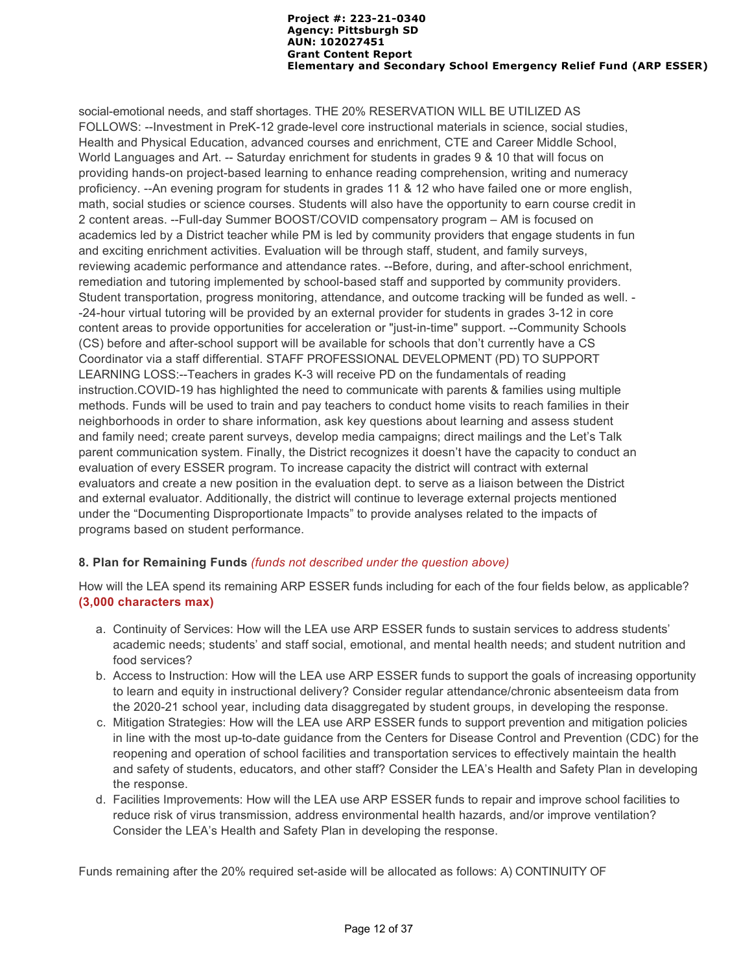social-emotional needs, and staff shortages. THE 20% RESERVATION WILL BE UTILIZED AS FOLLOWS: --Investment in PreK-12 grade-level core instructional materials in science, social studies, Health and Physical Education, advanced courses and enrichment, CTE and Career Middle School, World Languages and Art. -- Saturday enrichment for students in grades 9 & 10 that will focus on providing hands-on project-based learning to enhance reading comprehension, writing and numeracy proficiency. --An evening program for students in grades 11 & 12 who have failed one or more english, math, social studies or science courses. Students will also have the opportunity to earn course credit in 2 content areas. --Full-day Summer BOOST/COVID compensatory program – AM is focused on academics led by a District teacher while PM is led by community providers that engage students in fun and exciting enrichment activities. Evaluation will be through staff, student, and family surveys, reviewing academic performance and attendance rates. --Before, during, and after-school enrichment, remediation and tutoring implemented by school-based staff and supported by community providers. Student transportation, progress monitoring, attendance, and outcome tracking will be funded as well. - -24-hour virtual tutoring will be provided by an external provider for students in grades 3-12 in core content areas to provide opportunities for acceleration or "just-in-time" support. --Community Schools (CS) before and after-school support will be available for schools that don't currently have a CS Coordinator via a staff differential. STAFF PROFESSIONAL DEVELOPMENT (PD) TO SUPPORT LEARNING LOSS:--Teachers in grades K-3 will receive PD on the fundamentals of reading instruction.COVID-19 has highlighted the need to communicate with parents & families using multiple methods. Funds will be used to train and pay teachers to conduct home visits to reach families in their neighborhoods in order to share information, ask key questions about learning and assess student and family need; create parent surveys, develop media campaigns; direct mailings and the Let's Talk parent communication system. Finally, the District recognizes it doesn't have the capacity to conduct an evaluation of every ESSER program. To increase capacity the district will contract with external evaluators and create a new position in the evaluation dept. to serve as a liaison between the District and external evaluator. Additionally, the district will continue to leverage external projects mentioned under the "Documenting Disproportionate Impacts" to provide analyses related to the impacts of programs based on student performance.

### **8. Plan for Remaining Funds** *(funds not described under the question above)*

How will the LEA spend its remaining ARP ESSER funds including for each of the four fields below, as applicable? **(3,000 characters max)**

- a. Continuity of Services: How will the LEA use ARP ESSER funds to sustain services to address students' academic needs; students' and staff social, emotional, and mental health needs; and student nutrition and food services?
- b. Access to Instruction: How will the LEA use ARP ESSER funds to support the goals of increasing opportunity to learn and equity in instructional delivery? Consider regular attendance/chronic absenteeism data from the 2020-21 school year, including data disaggregated by student groups, in developing the response.
- c. Mitigation Strategies: How will the LEA use ARP ESSER funds to support prevention and mitigation policies in line with the most up-to-date guidance from the Centers for Disease Control and Prevention (CDC) for the reopening and operation of school facilities and transportation services to effectively maintain the health and safety of students, educators, and other staff? Consider the LEA's Health and Safety Plan in developing the response.
- d. Facilities Improvements: How will the LEA use ARP ESSER funds to repair and improve school facilities to reduce risk of virus transmission, address environmental health hazards, and/or improve ventilation? Consider the LEA's Health and Safety Plan in developing the response.

Funds remaining after the 20% required set-aside will be allocated as follows: A) CONTINUITY OF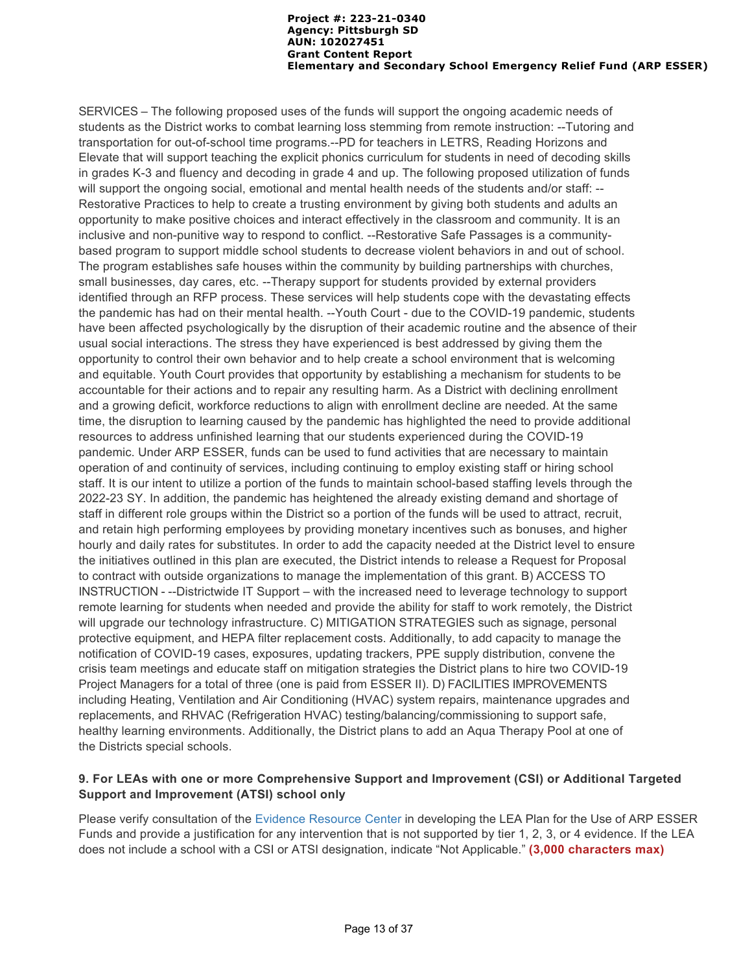SERVICES – The following proposed uses of the funds will support the ongoing academic needs of students as the District works to combat learning loss stemming from remote instruction: --Tutoring and transportation for out-of-school time programs.--PD for teachers in LETRS, Reading Horizons and Elevate that will support teaching the explicit phonics curriculum for students in need of decoding skills in grades K-3 and fluency and decoding in grade 4 and up. The following proposed utilization of funds will support the ongoing social, emotional and mental health needs of the students and/or staff: --Restorative Practices to help to create a trusting environment by giving both students and adults an opportunity to make positive choices and interact effectively in the classroom and community. It is an inclusive and non-punitive way to respond to conflict. --Restorative Safe Passages is a communitybased program to support middle school students to decrease violent behaviors in and out of school. The program establishes safe houses within the community by building partnerships with churches, small businesses, day cares, etc. --Therapy support for students provided by external providers identified through an RFP process. These services will help students cope with the devastating effects the pandemic has had on their mental health. --Youth Court - due to the COVID-19 pandemic, students have been affected psychologically by the disruption of their academic routine and the absence of their usual social interactions. The stress they have experienced is best addressed by giving them the opportunity to control their own behavior and to help create a school environment that is welcoming and equitable. Youth Court provides that opportunity by establishing a mechanism for students to be accountable for their actions and to repair any resulting harm. As a District with declining enrollment and a growing deficit, workforce reductions to align with enrollment decline are needed. At the same time, the disruption to learning caused by the pandemic has highlighted the need to provide additional resources to address unfinished learning that our students experienced during the COVID-19 pandemic. Under ARP ESSER, funds can be used to fund activities that are necessary to maintain operation of and continuity of services, including continuing to employ existing staff or hiring school staff. It is our intent to utilize a portion of the funds to maintain school-based staffing levels through the 2022-23 SY. In addition, the pandemic has heightened the already existing demand and shortage of staff in different role groups within the District so a portion of the funds will be used to attract, recruit, and retain high performing employees by providing monetary incentives such as bonuses, and higher hourly and daily rates for substitutes. In order to add the capacity needed at the District level to ensure the initiatives outlined in this plan are executed, the District intends to release a Request for Proposal to contract with outside organizations to manage the implementation of this grant. B) ACCESS TO INSTRUCTION - --Districtwide IT Support – with the increased need to leverage technology to support remote learning for students when needed and provide the ability for staff to work remotely, the District will upgrade our technology infrastructure. C) MITIGATION STRATEGIES such as signage, personal protective equipment, and HEPA filter replacement costs. Additionally, to add capacity to manage the notification of COVID-19 cases, exposures, updating trackers, PPE supply distribution, convene the crisis team meetings and educate staff on mitigation strategies the District plans to hire two COVID-19 Project Managers for a total of three (one is paid from ESSER II). D) FACILITIES IMPROVEMENTS including Heating, Ventilation and Air Conditioning (HVAC) system repairs, maintenance upgrades and replacements, and RHVAC (Refrigeration HVAC) testing/balancing/commissioning to support safe, healthy learning environments. Additionally, the District plans to add an Aqua Therapy Pool at one of the Districts special schools.

# **9. For LEAs with one or more Comprehensive Support and Improvement (CSI) or Additional Targeted Support and Improvement (ATSI) school only**

Please verify consultation of the Evidence Resource Center in developing the LEA Plan for the Use of ARP ESSER Funds and provide a justification for any intervention that is not supported by tier 1, 2, 3, or 4 evidence. If the LEA does not include a school with a CSI or ATSI designation, indicate "Not Applicable." **(3,000 characters max)**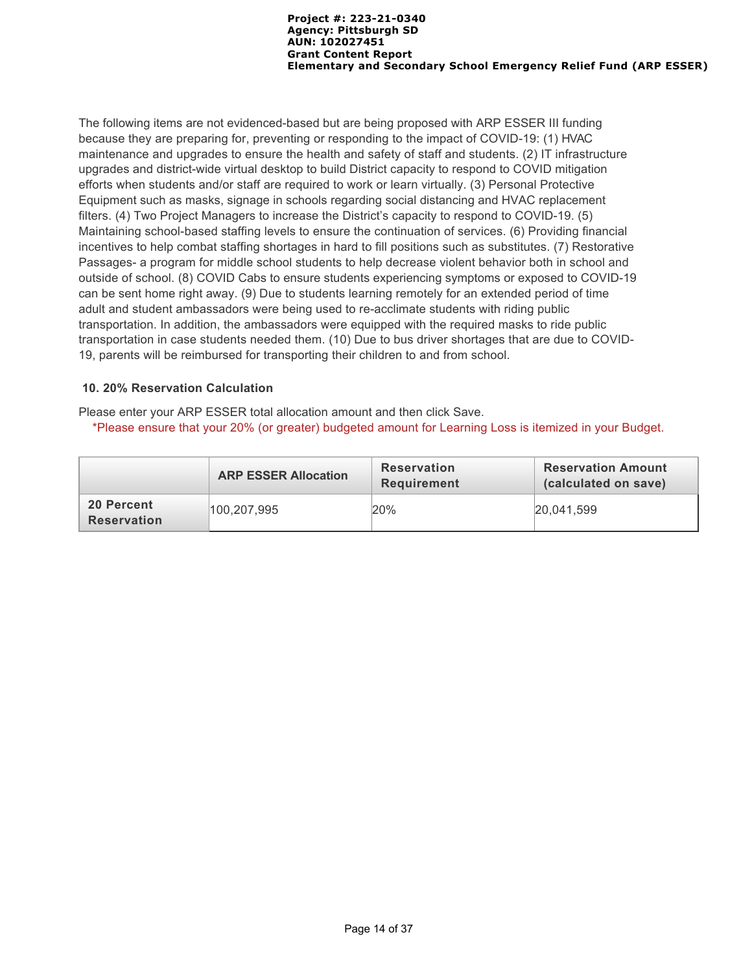The following items are not evidenced-based but are being proposed with ARP ESSER III funding because they are preparing for, preventing or responding to the impact of COVID-19: (1) HVAC maintenance and upgrades to ensure the health and safety of staff and students. (2) IT infrastructure upgrades and district-wide virtual desktop to build District capacity to respond to COVID mitigation efforts when students and/or staff are required to work or learn virtually. (3) Personal Protective Equipment such as masks, signage in schools regarding social distancing and HVAC replacement filters. (4) Two Project Managers to increase the District's capacity to respond to COVID-19. (5) Maintaining school-based staffing levels to ensure the continuation of services. (6) Providing financial incentives to help combat staffing shortages in hard to fill positions such as substitutes. (7) Restorative Passages- a program for middle school students to help decrease violent behavior both in school and outside of school. (8) COVID Cabs to ensure students experiencing symptoms or exposed to COVID-19 can be sent home right away. (9) Due to students learning remotely for an extended period of time adult and student ambassadors were being used to re-acclimate students with riding public transportation. In addition, the ambassadors were equipped with the required masks to ride public transportation in case students needed them. (10) Due to bus driver shortages that are due to COVID-19, parents will be reimbursed for transporting their children to and from school.

### **10. 20% Reservation Calculation**

Please enter your ARP ESSER total allocation amount and then click Save. \*Please ensure that your 20% (or greater) budgeted amount for Learning Loss is itemized in your Budget.

|                                  | <b>ARP ESSER Allocation</b> | <b>Reservation</b><br>Requirement | <b>Reservation Amount</b><br>(calculated on save) |
|----------------------------------|-----------------------------|-----------------------------------|---------------------------------------------------|
| 20 Percent<br><b>Reservation</b> | 100.207.995                 | 20%                               | 20.041.599                                        |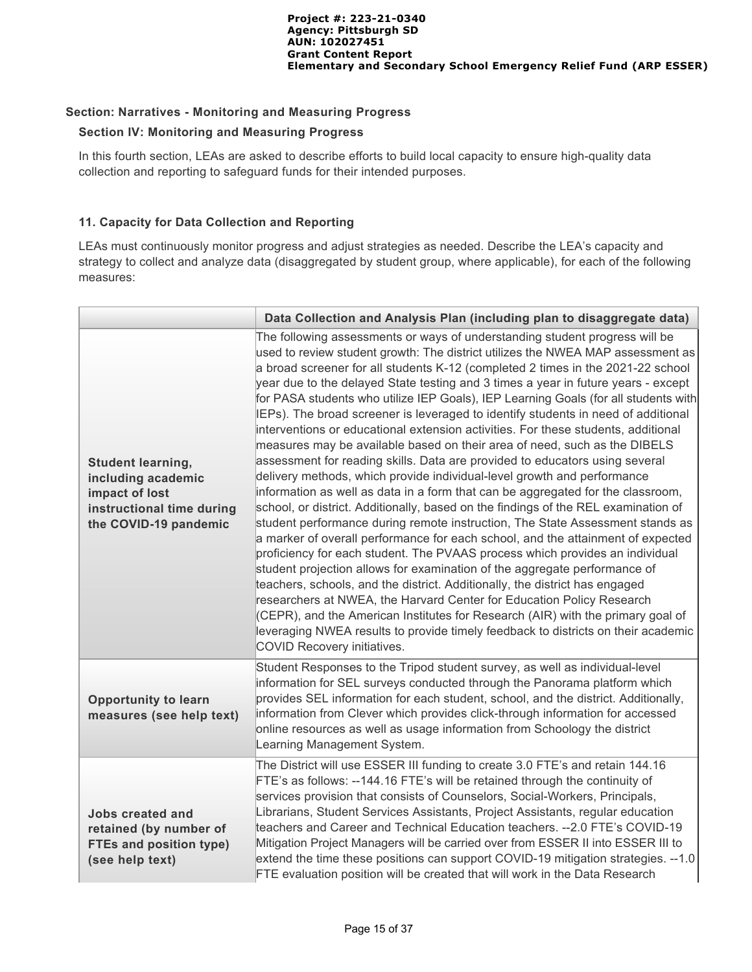### **Section: Narratives - Monitoring and Measuring Progress**

### **Section IV: Monitoring and Measuring Progress**

In this fourth section, LEAs are asked to describe efforts to build local capacity to ensure high-quality data collection and reporting to safeguard funds for their intended purposes.

## **11. Capacity for Data Collection and Reporting**

LEAs must continuously monitor progress and adjust strategies as needed. Describe the LEA's capacity and strategy to collect and analyze data (disaggregated by student group, where applicable), for each of the following measures:

|                                                                                                                        | Data Collection and Analysis Plan (including plan to disaggregate data)                                                                                                                                                                                                                                                                                                                                                                                                                                                                                                                                                                                                                                                                                                                                                                                                                                                                                                                                                                                                                                                                                                                                                                                                                                                                                                                                                                                                                                                                                                                                                                                                                                                 |
|------------------------------------------------------------------------------------------------------------------------|-------------------------------------------------------------------------------------------------------------------------------------------------------------------------------------------------------------------------------------------------------------------------------------------------------------------------------------------------------------------------------------------------------------------------------------------------------------------------------------------------------------------------------------------------------------------------------------------------------------------------------------------------------------------------------------------------------------------------------------------------------------------------------------------------------------------------------------------------------------------------------------------------------------------------------------------------------------------------------------------------------------------------------------------------------------------------------------------------------------------------------------------------------------------------------------------------------------------------------------------------------------------------------------------------------------------------------------------------------------------------------------------------------------------------------------------------------------------------------------------------------------------------------------------------------------------------------------------------------------------------------------------------------------------------------------------------------------------------|
| <b>Student learning,</b><br>including academic<br>impact of lost<br>instructional time during<br>the COVID-19 pandemic | The following assessments or ways of understanding student progress will be<br>used to review student growth: The district utilizes the NWEA MAP assessment as<br>a broad screener for all students K-12 (completed 2 times in the 2021-22 school<br>year due to the delayed State testing and 3 times a year in future years - except<br>for PASA students who utilize IEP Goals), IEP Learning Goals (for all students with<br>IEPs). The broad screener is leveraged to identify students in need of additional<br>interventions or educational extension activities. For these students, additional<br>measures may be available based on their area of need, such as the DIBELS<br>assessment for reading skills. Data are provided to educators using several<br>delivery methods, which provide individual-level growth and performance<br>information as well as data in a form that can be aggregated for the classroom,<br>school, or district. Additionally, based on the findings of the REL examination of<br>student performance during remote instruction, The State Assessment stands as<br>a marker of overall performance for each school, and the attainment of expected<br>proficiency for each student. The PVAAS process which provides an individual<br>student projection allows for examination of the aggregate performance of<br>teachers, schools, and the district. Additionally, the district has engaged<br>researchers at NWEA, the Harvard Center for Education Policy Research<br>(CEPR), and the American Institutes for Research (AIR) with the primary goal of<br>leveraging NWEA results to provide timely feedback to districts on their academic<br>COVID Recovery initiatives. |
| <b>Opportunity to learn</b><br>measures (see help text)                                                                | Student Responses to the Tripod student survey, as well as individual-level<br>information for SEL surveys conducted through the Panorama platform which<br>provides SEL information for each student, school, and the district. Additionally,<br>information from Clever which provides click-through information for accessed<br>online resources as well as usage information from Schoology the district<br>Learning Management System.                                                                                                                                                                                                                                                                                                                                                                                                                                                                                                                                                                                                                                                                                                                                                                                                                                                                                                                                                                                                                                                                                                                                                                                                                                                                             |
| <b>Jobs created and</b><br>retained (by number of<br>FTEs and position type)<br>(see help text)                        | The District will use ESSER III funding to create 3.0 FTE's and retain 144.16<br>FTE's as follows: --144.16 FTE's will be retained through the continuity of<br>services provision that consists of Counselors, Social-Workers, Principals,<br>Librarians, Student Services Assistants, Project Assistants, regular education<br>teachers and Career and Technical Education teachers. -- 2.0 FTE's COVID-19<br>Mitigation Project Managers will be carried over from ESSER II into ESSER III to<br>extend the time these positions can support COVID-19 mitigation strategies. --1.0<br>FTE evaluation position will be created that will work in the Data Research                                                                                                                                                                                                                                                                                                                                                                                                                                                                                                                                                                                                                                                                                                                                                                                                                                                                                                                                                                                                                                                    |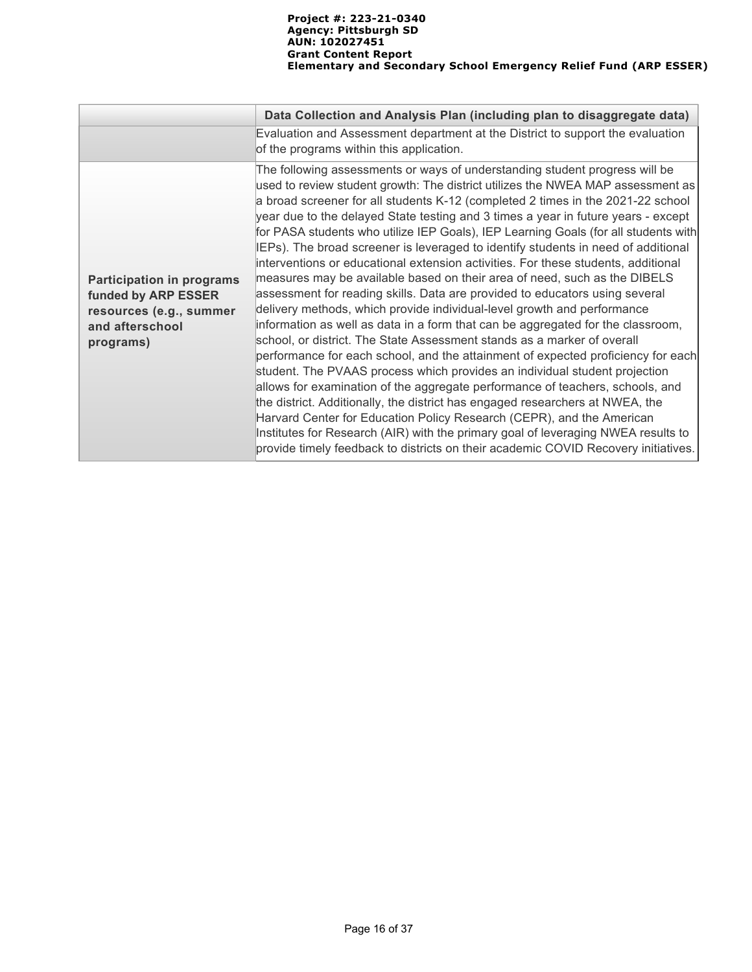|                                                                                                                    | Data Collection and Analysis Plan (including plan to disaggregate data)                                                                                                                                                                                                                                                                                                                                                                                                                                                                                                                                                                                                                                                                                                                                                                                                                                                                                                                                                                                                                                                                                                                                                                                                                                                                                                                                                                                                                                                                                                                              |
|--------------------------------------------------------------------------------------------------------------------|------------------------------------------------------------------------------------------------------------------------------------------------------------------------------------------------------------------------------------------------------------------------------------------------------------------------------------------------------------------------------------------------------------------------------------------------------------------------------------------------------------------------------------------------------------------------------------------------------------------------------------------------------------------------------------------------------------------------------------------------------------------------------------------------------------------------------------------------------------------------------------------------------------------------------------------------------------------------------------------------------------------------------------------------------------------------------------------------------------------------------------------------------------------------------------------------------------------------------------------------------------------------------------------------------------------------------------------------------------------------------------------------------------------------------------------------------------------------------------------------------------------------------------------------------------------------------------------------------|
|                                                                                                                    | Evaluation and Assessment department at the District to support the evaluation<br>of the programs within this application.                                                                                                                                                                                                                                                                                                                                                                                                                                                                                                                                                                                                                                                                                                                                                                                                                                                                                                                                                                                                                                                                                                                                                                                                                                                                                                                                                                                                                                                                           |
| <b>Participation in programs</b><br>funded by ARP ESSER<br>resources (e.g., summer<br>and afterschool<br>programs) | The following assessments or ways of understanding student progress will be<br>used to review student growth: The district utilizes the NWEA MAP assessment as<br>a broad screener for all students K-12 (completed 2 times in the 2021-22 school<br>year due to the delayed State testing and 3 times a year in future years - except<br>for PASA students who utilize IEP Goals), IEP Learning Goals (for all students with<br>IEPs). The broad screener is leveraged to identify students in need of additional<br>interventions or educational extension activities. For these students, additional<br>measures may be available based on their area of need, such as the DIBELS<br>assessment for reading skills. Data are provided to educators using several<br>delivery methods, which provide individual-level growth and performance<br>information as well as data in a form that can be aggregated for the classroom,<br>school, or district. The State Assessment stands as a marker of overall<br>performance for each school, and the attainment of expected proficiency for each<br>student. The PVAAS process which provides an individual student projection<br>allows for examination of the aggregate performance of teachers, schools, and<br>the district. Additionally, the district has engaged researchers at NWEA, the<br>Harvard Center for Education Policy Research (CEPR), and the American<br>Institutes for Research (AIR) with the primary goal of leveraging NWEA results to<br>provide timely feedback to districts on their academic COVID Recovery initiatives. |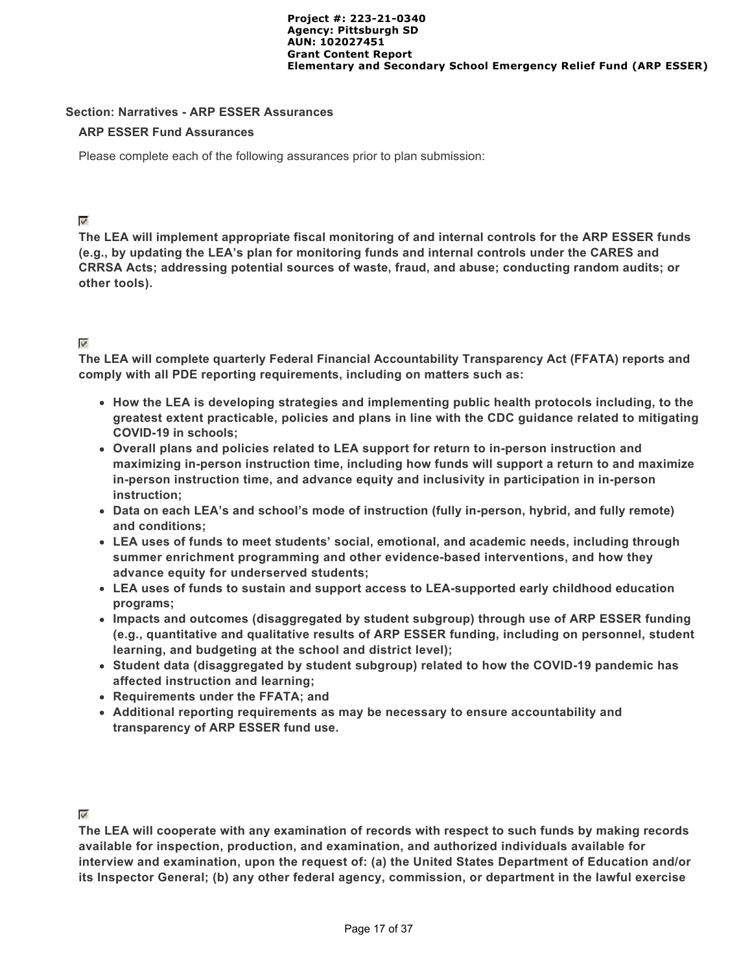#### **Section: Narratives - ARP ESSER Assurances**

#### **ARP ESSER Fund Assurances**

Please complete each of the following assurances prior to plan submission:

## $\mathcal{A}$

**The LEA will implement appropriate fiscal monitoring of and internal controls for the ARP ESSER funds (e.g., by updating the LEA's plan for monitoring funds and internal controls under the CARES and CRRSA Acts; addressing potential sources of waste, fraud, and abuse; conducting random audits; or other tools).**

# $\mathcal{P}$

**The LEA will complete quarterly Federal Financial Accountability Transparency Act (FFATA) reports and comply with all PDE reporting requirements, including on matters such as:**

- **How the LEA is developing strategies and implementing public health protocols including, to the greatest extent practicable, policies and plans in line with the CDC guidance related to mitigating COVID-19 in schools;**
- **Overall plans and policies related to LEA support for return to in-person instruction and maximizing in-person instruction time, including how funds will support a return to and maximize in-person instruction time, and advance equity and inclusivity in participation in in-person instruction;**
- **Data on each LEA's and school's mode of instruction (fully in-person, hybrid, and fully remote) and conditions;**
- **LEA uses of funds to meet students' social, emotional, and academic needs, including through summer enrichment programming and other evidence-based interventions, and how they advance equity for underserved students;**
- **LEA uses of funds to sustain and support access to LEA-supported early childhood education programs;**
- **Impacts and outcomes (disaggregated by student subgroup) through use of ARP ESSER funding (e.g., quantitative and qualitative results of ARP ESSER funding, including on personnel, student learning, and budgeting at the school and district level);**
- **Student data (disaggregated by student subgroup) related to how the COVID-19 pandemic has affected instruction and learning;**
- **Requirements under the FFATA; and**
- **Additional reporting requirements as may be necessary to ensure accountability and transparency of ARP ESSER fund use.**

#### $\mathcal{L}$

**The LEA will cooperate with any examination of records with respect to such funds by making records available for inspection, production, and examination, and authorized individuals available for interview and examination, upon the request of: (a) the United States Department of Education and/or its Inspector General; (b) any other federal agency, commission, or department in the lawful exercise**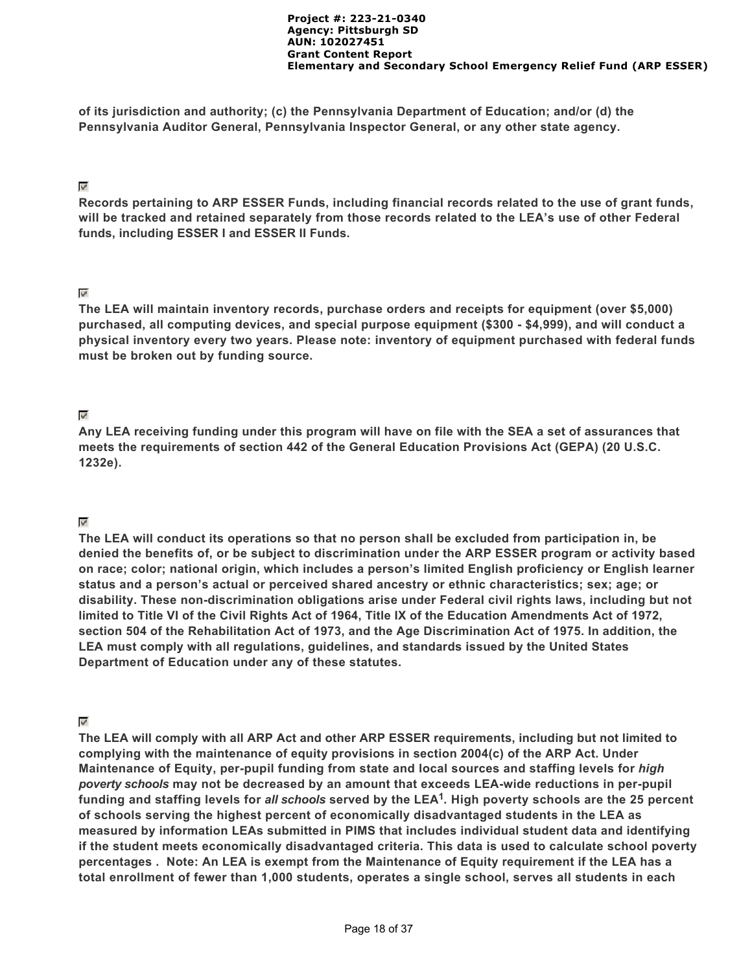**of its jurisdiction and authority; (c) the Pennsylvania Department of Education; and/or (d) the Pennsylvania Auditor General, Pennsylvania Inspector General, or any other state agency.**

#### $\omega^{\mu}$

**Records pertaining to ARP ESSER Funds, including financial records related to the use of grant funds, will be tracked and retained separately from those records related to the LEA's use of other Federal funds, including ESSER I and ESSER II Funds.**

### $\omega^{\mu}$

**The LEA will maintain inventory records, purchase orders and receipts for equipment (over \$5,000) purchased, all computing devices, and special purpose equipment (\$300 - \$4,999), and will conduct a physical inventory every two years. Please note: inventory of equipment purchased with federal funds must be broken out by funding source.**

# $\mathbf{w}^{\mathbf{p}^{\mathbf{p}}}$

**Any LEA receiving funding under this program will have on file with the SEA a set of assurances that meets the requirements of section 442 of the General Education Provisions Act (GEPA) (20 U.S.C. 1232e).**

# $\varphi^i$

**The LEA will conduct its operations so that no person shall be excluded from participation in, be denied the benefits of, or be subject to discrimination under the ARP ESSER program or activity based on race; color; national origin, which includes a person's limited English proficiency or English learner status and a person's actual or perceived shared ancestry or ethnic characteristics; sex; age; or disability. These non-discrimination obligations arise under Federal civil rights laws, including but not limited to Title VI of the Civil Rights Act of 1964, Title IX of the Education Amendments Act of 1972, section 504 of the Rehabilitation Act of 1973, and the Age Discrimination Act of 1975. In addition, the LEA must comply with all regulations, guidelines, and standards issued by the United States Department of Education under any of these statutes.**

### $\varphi^{\mu}$

**The LEA will comply with all ARP Act and other ARP ESSER requirements, including but not limited to complying with the maintenance of equity provisions in section 2004(c) of the ARP Act. Under Maintenance of Equity, per-pupil funding from state and local sources and staffing levels for** *high poverty schools* **may not be decreased by an amount that exceeds LEA-wide reductions in per-pupil** funding and staffing levels for *all schools* served by the LEA<sup>1</sup>. High poverty schools are the 25 percent **of schools serving the highest percent of economically disadvantaged students in the LEA as measured by information LEAs submitted in PIMS that includes individual student data and identifying if the student meets economically disadvantaged criteria. This data is used to calculate school poverty percentages . Note: An LEA is exempt from the Maintenance of Equity requirement if the LEA has a total enrollment of fewer than 1,000 students, operates a single school, serves all students in each**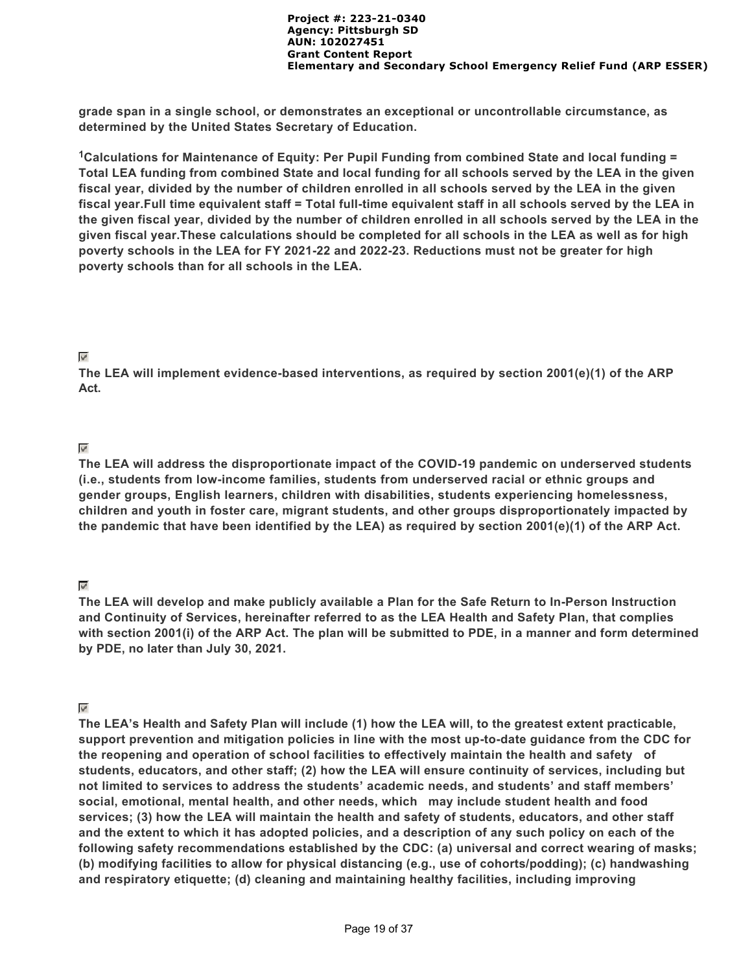**grade span in a single school, or demonstrates an exceptional or uncontrollable circumstance, as determined by the United States Secretary of Education.**

<sup>1</sup> Calculations for Maintenance of Equity: Per Pupil Funding from combined State and local funding = **Total LEA funding from combined State and local funding for all schools served by the LEA in the given fiscal year, divided by the number of children enrolled in all schools served by the LEA in the given fiscal year.Full time equivalent staff = Total full-time equivalent staff in all schools served by the LEA in the given fiscal year, divided by the number of children enrolled in all schools served by the LEA in the given fiscal year.These calculations should be completed for all schools in the LEA as well as for high poverty schools in the LEA for FY 2021-22 and 2022-23. Reductions must not be greater for high poverty schools than for all schools in the LEA.**

### $\mathbf{w}^{\prime}$

**The LEA will implement evidence-based interventions, as required by section 2001(e)(1) of the ARP Act.**

### $\mathbf{v}^{\prime}$

**The LEA will address the disproportionate impact of the COVID-19 pandemic on underserved students (i.e., students from low-income families, students from underserved racial or ethnic groups and gender groups, English learners, children with disabilities, students experiencing homelessness, children and youth in foster care, migrant students, and other groups disproportionately impacted by the pandemic that have been identified by the LEA) as required by section 2001(e)(1) of the ARP Act.**

### $\overline{\mathscr{D}}$

**The LEA will develop and make publicly available a Plan for the Safe Return to In-Person Instruction and Continuity of Services, hereinafter referred to as the LEA Health and Safety Plan, that complies with section 2001(i) of the ARP Act. The plan will be submitted to PDE, in a manner and form determined by PDE, no later than July 30, 2021.** 

### $\mathscr{P}$

**The LEA's Health and Safety Plan will include (1) how the LEA will, to the greatest extent practicable, support prevention and mitigation policies in line with the most up-to-date guidance from the CDC for the reopening and operation of school facilities to effectively maintain the health and safety of students, educators, and other staff; (2) how the LEA will ensure continuity of services, including but not limited to services to address the students' academic needs, and students' and staff members' social, emotional, mental health, and other needs, which may include student health and food services; (3) how the LEA will maintain the health and safety of students, educators, and other staff and the extent to which it has adopted policies, and a description of any such policy on each of the following safety recommendations established by the CDC: (a) universal and correct wearing of masks; (b) modifying facilities to allow for physical distancing (e.g., use of cohorts/podding); (c) handwashing and respiratory etiquette; (d) cleaning and maintaining healthy facilities, including improving**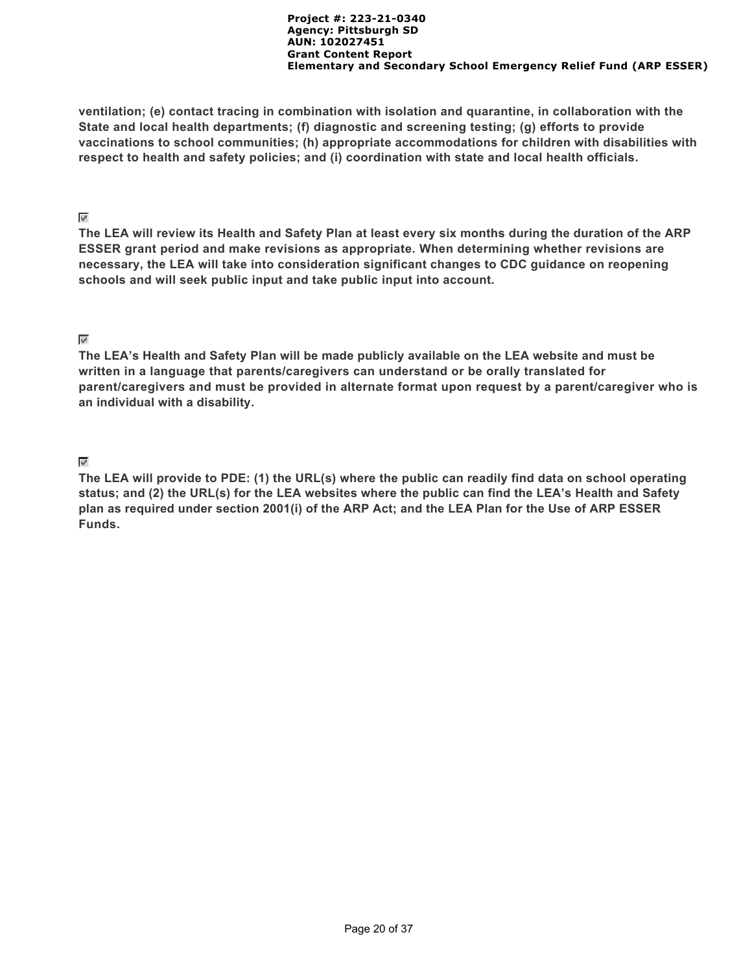**ventilation; (e) contact tracing in combination with isolation and quarantine, in collaboration with the State and local health departments; (f) diagnostic and screening testing; (g) efforts to provide vaccinations to school communities; (h) appropriate accommodations for children with disabilities with respect to health and safety policies; and (i) coordination with state and local health officials.**

### $\varphi^i$

**The LEA will review its Health and Safety Plan at least every six months during the duration of the ARP ESSER grant period and make revisions as appropriate. When determining whether revisions are necessary, the LEA will take into consideration significant changes to CDC guidance on reopening schools and will seek public input and take public input into account.**

### $\psi^i$

**The LEA's Health and Safety Plan will be made publicly available on the LEA website and must be written in a language that parents/caregivers can understand or be orally translated for parent/caregivers and must be provided in alternate format upon request by a parent/caregiver who is an individual with a disability.**

# $\mathbf{v}^{\prime}$

**The LEA will provide to PDE: (1) the URL(s) where the public can readily find data on school operating status; and (2) the URL(s) for the LEA websites where the public can find the LEA's Health and Safety plan as required under section 2001(i) of the ARP Act; and the LEA Plan for the Use of ARP ESSER Funds.**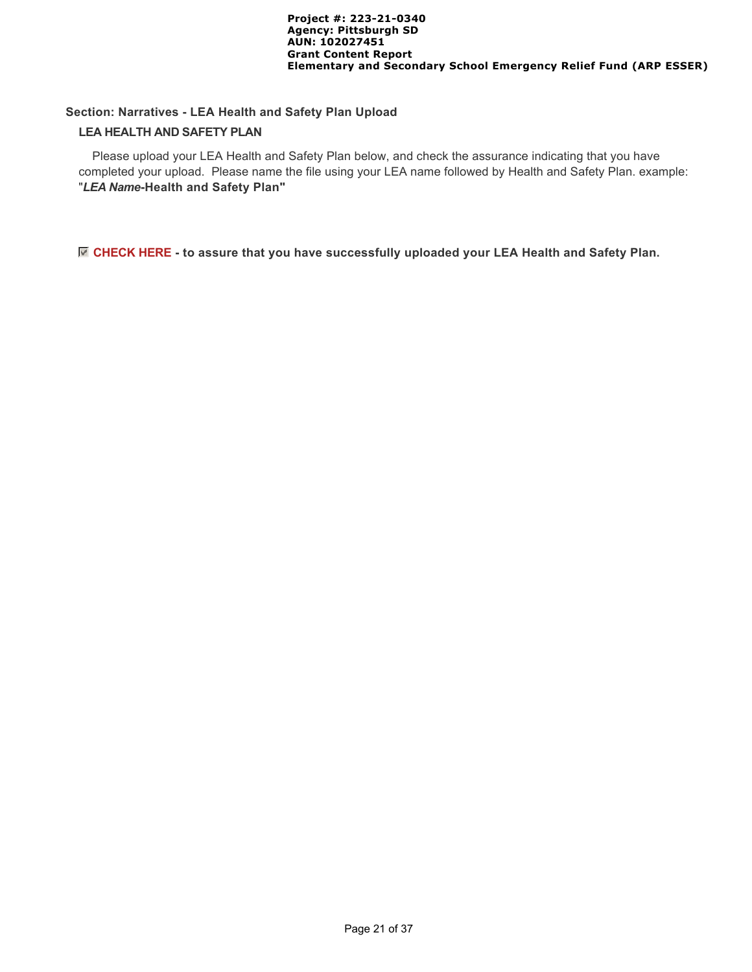### **Section: Narratives - LEA Health and Safety Plan Upload**

#### **LEA HEALTH AND SAFETY PLAN**

 Please upload your LEA Health and Safety Plan below, and check the assurance indicating that you have completed your upload. Please name the file using your LEA name followed by Health and Safety Plan. example: "*LEA Name***-Health and Safety Plan"**

### **CHECK HERE - to assure that you have successfully uploaded your LEA Health and Safety Plan.**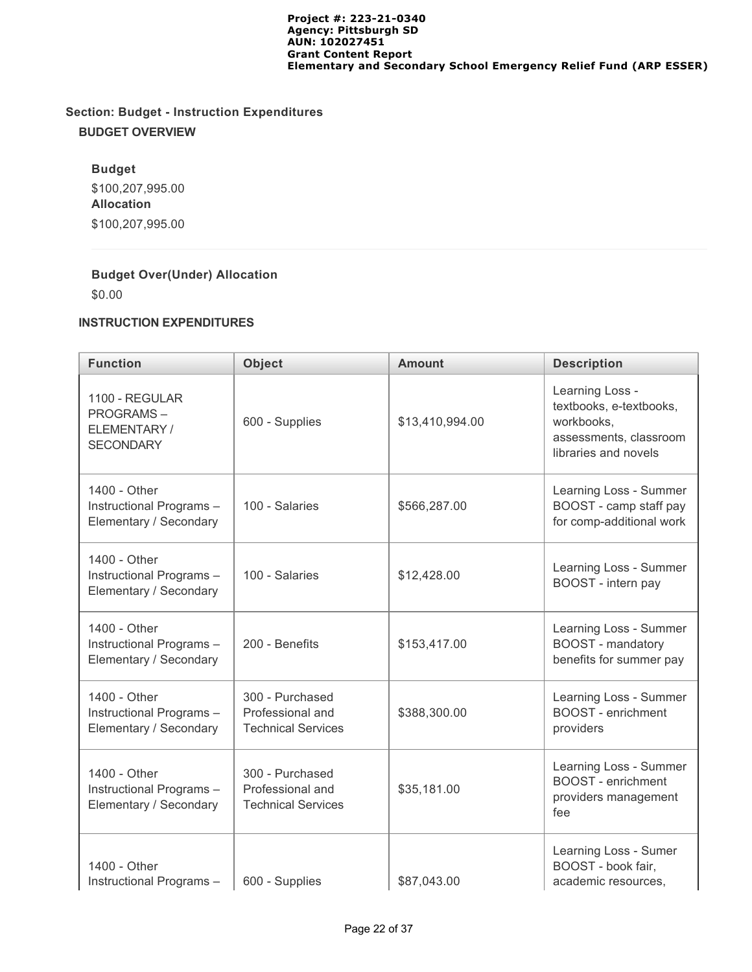# **Section: Budget - Instruction Expenditures BUDGET OVERVIEW**

# **Budget**

\$100,207,995.00 **Allocation** \$100,207,995.00

# **Budget Over(Under) Allocation**

\$0.00

### **INSTRUCTION EXPENDITURES**

| <b>Function</b>                                                        | <b>Object</b>                                                    | <b>Amount</b>   | <b>Description</b>                                                                                         |
|------------------------------------------------------------------------|------------------------------------------------------------------|-----------------|------------------------------------------------------------------------------------------------------------|
| 1100 - REGULAR<br><b>PROGRAMS-</b><br>ELEMENTARY /<br><b>SECONDARY</b> | 600 - Supplies                                                   | \$13,410,994.00 | Learning Loss -<br>textbooks, e-textbooks,<br>workbooks.<br>assessments, classroom<br>libraries and novels |
| 1400 - Other<br>Instructional Programs-<br>Elementary / Secondary      | 100 - Salaries                                                   | \$566,287.00    | Learning Loss - Summer<br>BOOST - camp staff pay<br>for comp-additional work                               |
| 1400 - Other<br>Instructional Programs-<br>Elementary / Secondary      | 100 - Salaries                                                   | \$12,428.00     | Learning Loss - Summer<br>BOOST - intern pay                                                               |
| 1400 - Other<br>Instructional Programs-<br>Elementary / Secondary      | 200 - Benefits                                                   | \$153,417.00    | Learning Loss - Summer<br><b>BOOST</b> - mandatory<br>benefits for summer pay                              |
| 1400 - Other<br>Instructional Programs-<br>Elementary / Secondary      | 300 - Purchased<br>Professional and<br><b>Technical Services</b> | \$388,300.00    | Learning Loss - Summer<br><b>BOOST</b> - enrichment<br>providers                                           |
| 1400 - Other<br>Instructional Programs-<br>Elementary / Secondary      | 300 - Purchased<br>Professional and<br><b>Technical Services</b> | \$35,181.00     | Learning Loss - Summer<br><b>BOOST</b> - enrichment<br>providers management<br>fee                         |
| 1400 - Other<br>Instructional Programs-                                | 600 - Supplies                                                   | \$87,043.00     | Learning Loss - Sumer<br>BOOST - book fair,<br>academic resources,                                         |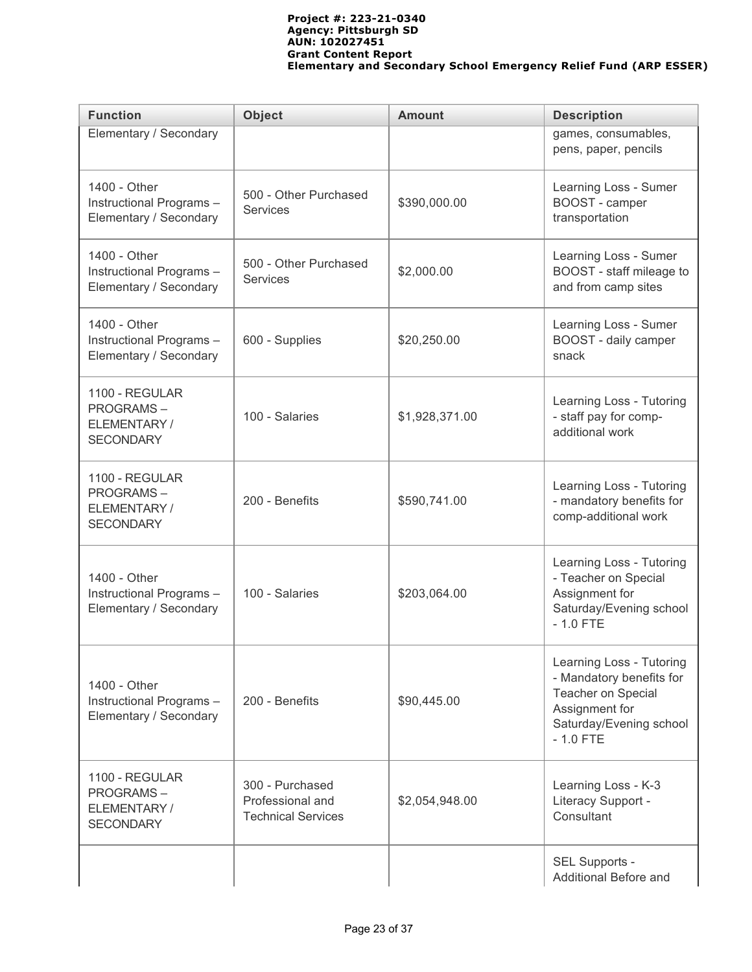| <b>Function</b>                                                       | <b>Object</b>                                                    | <b>Amount</b>                                                             | <b>Description</b>                                                                                                                    |  |  |
|-----------------------------------------------------------------------|------------------------------------------------------------------|---------------------------------------------------------------------------|---------------------------------------------------------------------------------------------------------------------------------------|--|--|
| Elementary / Secondary                                                |                                                                  |                                                                           | games, consumables,<br>pens, paper, pencils                                                                                           |  |  |
| 1400 - Other<br>Instructional Programs-<br>Elementary / Secondary     | 500 - Other Purchased<br>\$390,000.00<br><b>Services</b>         |                                                                           | Learning Loss - Sumer<br>BOOST - camper<br>transportation                                                                             |  |  |
| 1400 - Other<br>Instructional Programs-<br>Elementary / Secondary     | 500 - Other Purchased<br><b>Services</b>                         | \$2,000.00                                                                | Learning Loss - Sumer<br>BOOST - staff mileage to<br>and from camp sites                                                              |  |  |
| 1400 - Other<br>Instructional Programs-<br>Elementary / Secondary     | 600 - Supplies                                                   | Learning Loss - Sumer<br>BOOST - daily camper<br>snack                    |                                                                                                                                       |  |  |
| 1100 - REGULAR<br><b>PROGRAMS-</b><br>ELEMENTARY/<br><b>SECONDARY</b> | 100 - Salaries                                                   | \$1,928,371.00                                                            | Learning Loss - Tutoring<br>- staff pay for comp-<br>additional work                                                                  |  |  |
| 1100 - REGULAR<br><b>PROGRAMS-</b><br>ELEMENTARY/<br><b>SECONDARY</b> | 200 - Benefits                                                   | \$590,741.00                                                              | Learning Loss - Tutoring<br>- mandatory benefits for<br>comp-additional work                                                          |  |  |
| 1400 - Other<br>Instructional Programs-<br>Elementary / Secondary     | 100 - Salaries                                                   | \$203,064.00                                                              | Learning Loss - Tutoring<br>- Teacher on Special<br>Assignment for<br>Saturday/Evening school<br>$-1.0$ FTE                           |  |  |
| 1400 - Other<br>Instructional Programs-<br>Elementary / Secondary     | 200 - Benefits                                                   | \$90,445.00                                                               | Learning Loss - Tutoring<br>- Mandatory benefits for<br>Teacher on Special<br>Assignment for<br>Saturday/Evening school<br>$-1.0$ FTE |  |  |
| 1100 - REGULAR<br><b>PROGRAMS-</b><br>ELEMENTARY/<br><b>SECONDARY</b> | 300 - Purchased<br>Professional and<br><b>Technical Services</b> | Learning Loss - K-3<br>Literacy Support -<br>\$2,054,948.00<br>Consultant |                                                                                                                                       |  |  |
|                                                                       |                                                                  |                                                                           | SEL Supports -<br>Additional Before and                                                                                               |  |  |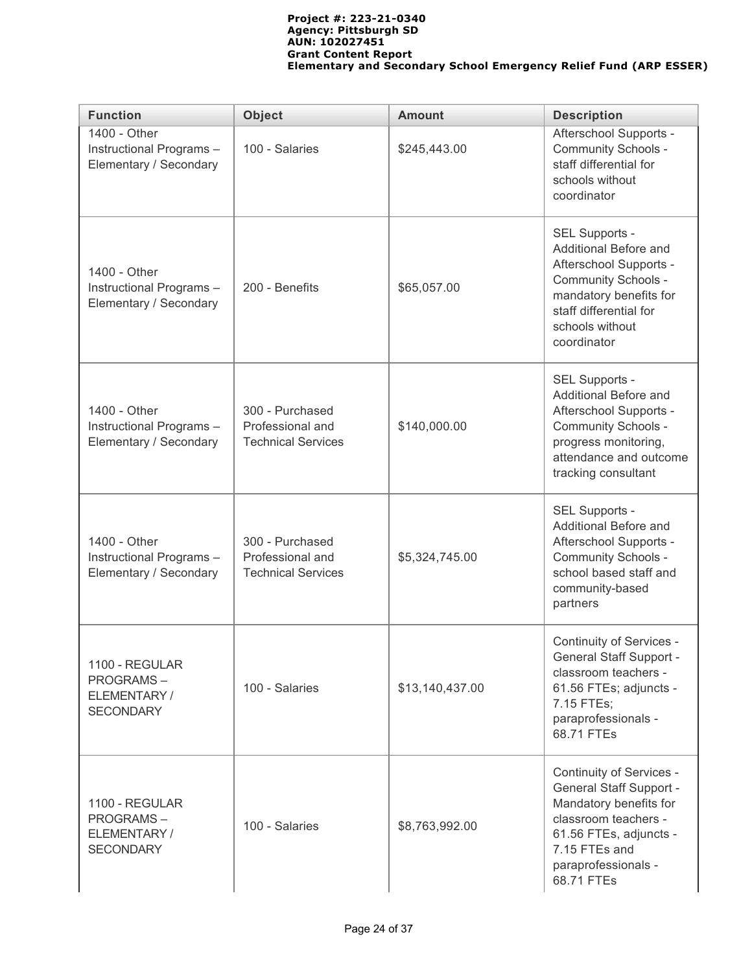| <b>Function</b>                                                       | <b>Object</b>                                                    | <b>Amount</b>   | <b>Description</b>                                                                                                                                                                           |  |
|-----------------------------------------------------------------------|------------------------------------------------------------------|-----------------|----------------------------------------------------------------------------------------------------------------------------------------------------------------------------------------------|--|
| 1400 - Other<br>Instructional Programs-<br>Elementary / Secondary     | 100 - Salaries                                                   | \$245,443.00    | Afterschool Supports -<br>Community Schools -<br>staff differential for<br>schools without<br>coordinator                                                                                    |  |
| 1400 - Other<br>Instructional Programs-<br>Elementary / Secondary     | 200 - Benefits<br>\$65,057.00                                    |                 | SEL Supports -<br>Additional Before and<br>Afterschool Supports -<br><b>Community Schools -</b><br>mandatory benefits for<br>staff differential for<br>schools without<br>coordinator        |  |
| 1400 - Other<br>Instructional Programs-<br>Elementary / Secondary     | 300 - Purchased<br>Professional and<br><b>Technical Services</b> | \$140,000.00    | SEL Supports -<br>Additional Before and<br>Afterschool Supports -<br>Community Schools -<br>progress monitoring,<br>attendance and outcome<br>tracking consultant                            |  |
| 1400 - Other<br>Instructional Programs-<br>Elementary / Secondary     | 300 - Purchased<br>Professional and<br><b>Technical Services</b> | \$5,324,745.00  | SEL Supports -<br>Additional Before and<br>Afterschool Supports -<br>Community Schools -<br>school based staff and<br>community-based<br>partners                                            |  |
| 1100 - REGULAR<br><b>PROGRAMS-</b><br>ELEMENTARY/<br><b>SECONDARY</b> | 100 - Salaries                                                   | \$13,140,437.00 | Continuity of Services -<br><b>General Staff Support -</b><br>classroom teachers -<br>61.56 FTEs; adjuncts -<br>7.15 FTEs;<br>paraprofessionals -<br>68.71 FTEs                              |  |
| 1100 - REGULAR<br><b>PROGRAMS-</b><br>ELEMENTARY/<br><b>SECONDARY</b> | 100 - Salaries                                                   | \$8,763,992.00  | Continuity of Services -<br><b>General Staff Support -</b><br>Mandatory benefits for<br>classroom teachers -<br>61.56 FTEs, adjuncts -<br>7.15 FTEs and<br>paraprofessionals -<br>68.71 FTEs |  |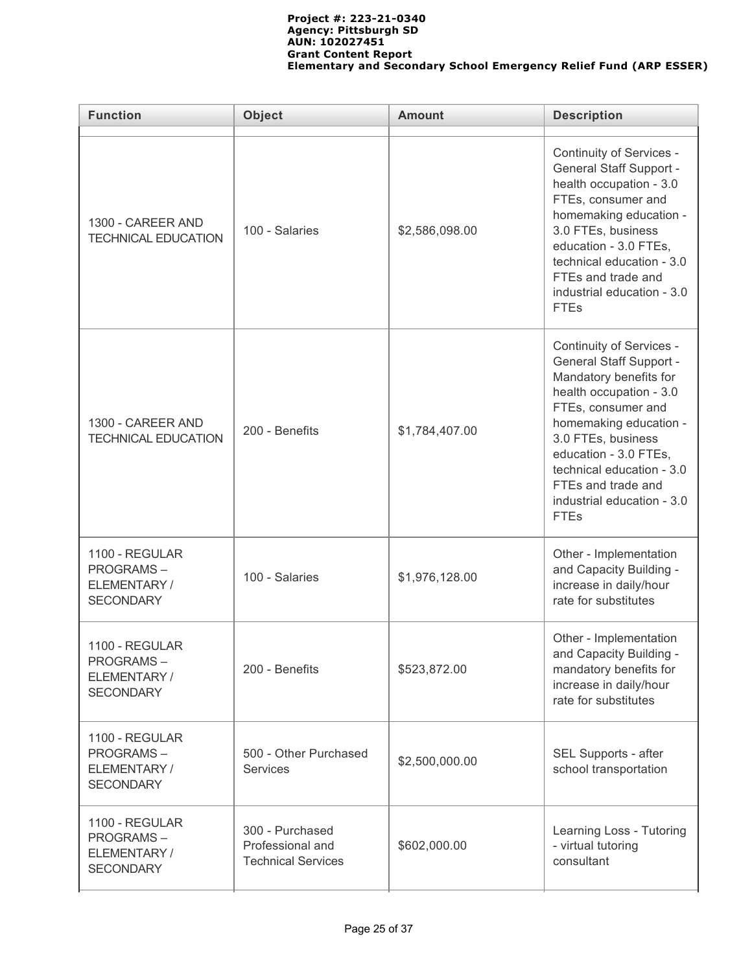| <b>Function</b>                                                        | <b>Object</b>                                                    | <b>Amount</b>  | <b>Description</b>                                                                                                                                                                                                                                                                                             |
|------------------------------------------------------------------------|------------------------------------------------------------------|----------------|----------------------------------------------------------------------------------------------------------------------------------------------------------------------------------------------------------------------------------------------------------------------------------------------------------------|
| 1300 - CAREER AND<br><b>TECHNICAL EDUCATION</b>                        | 100 - Salaries                                                   | \$2,586,098.00 | Continuity of Services -<br><b>General Staff Support -</b><br>health occupation - 3.0<br>FTEs, consumer and<br>homemaking education -<br>3.0 FTEs, business<br>education - 3.0 FTEs,<br>technical education - 3.0<br>FTEs and trade and<br>industrial education - 3.0<br><b>FTEs</b>                           |
| 1300 - CAREER AND<br><b>TECHNICAL EDUCATION</b>                        | 200 - Benefits                                                   | \$1,784,407.00 | Continuity of Services -<br><b>General Staff Support -</b><br>Mandatory benefits for<br>health occupation - 3.0<br>FTEs, consumer and<br>homemaking education -<br>3.0 FTEs, business<br>education - 3.0 FTEs,<br>technical education - 3.0<br>FTEs and trade and<br>industrial education - 3.0<br><b>FTEs</b> |
| 1100 - REGULAR<br><b>PROGRAMS-</b><br>ELEMENTARY/<br><b>SECONDARY</b>  | 100 - Salaries                                                   | \$1,976,128.00 | Other - Implementation<br>and Capacity Building -<br>increase in daily/hour<br>rate for substitutes                                                                                                                                                                                                            |
| 1100 - REGULAR<br><b>PROGRAMS-</b><br>ELEMENTARY /<br><b>SECONDARY</b> | 200 - Benefits                                                   |                | Other - Implementation<br>and Capacity Building -<br>mandatory benefits for<br>increase in daily/hour<br>rate for substitutes                                                                                                                                                                                  |
| 1100 - REGULAR<br><b>PROGRAMS-</b><br>ELEMENTARY /<br><b>SECONDARY</b> | 500 - Other Purchased<br><b>Services</b>                         | \$2,500,000.00 | SEL Supports - after<br>school transportation                                                                                                                                                                                                                                                                  |
| 1100 - REGULAR<br><b>PROGRAMS-</b><br>ELEMENTARY /<br><b>SECONDARY</b> | 300 - Purchased<br>Professional and<br><b>Technical Services</b> | \$602,000.00   | Learning Loss - Tutoring<br>- virtual tutoring<br>consultant                                                                                                                                                                                                                                                   |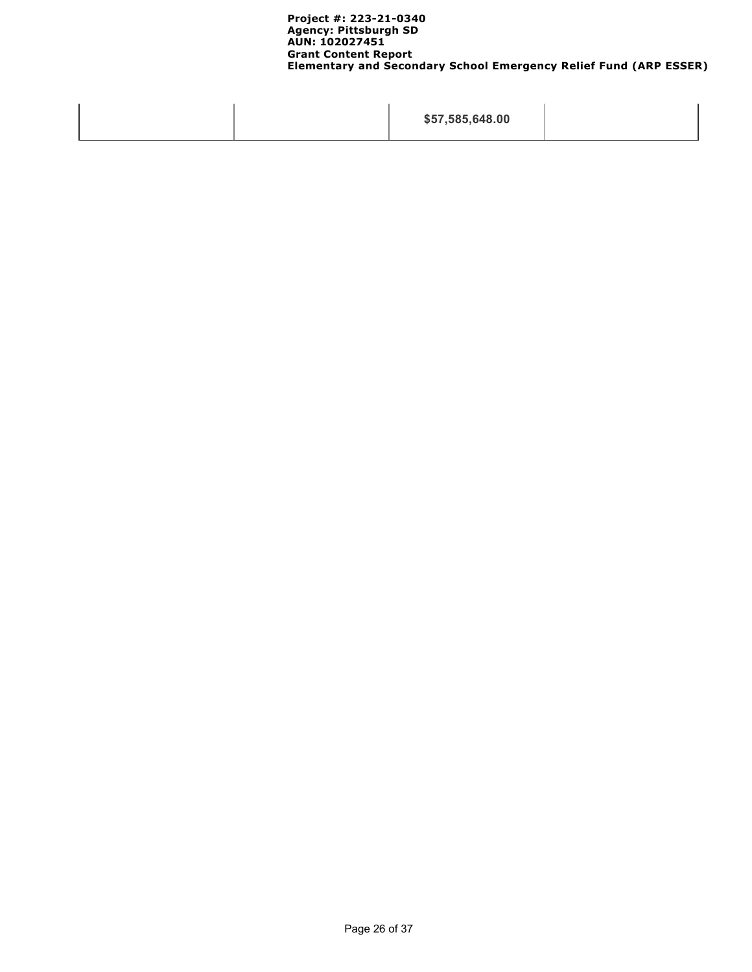|  | \$57,585,648.00 |  |
|--|-----------------|--|
|--|-----------------|--|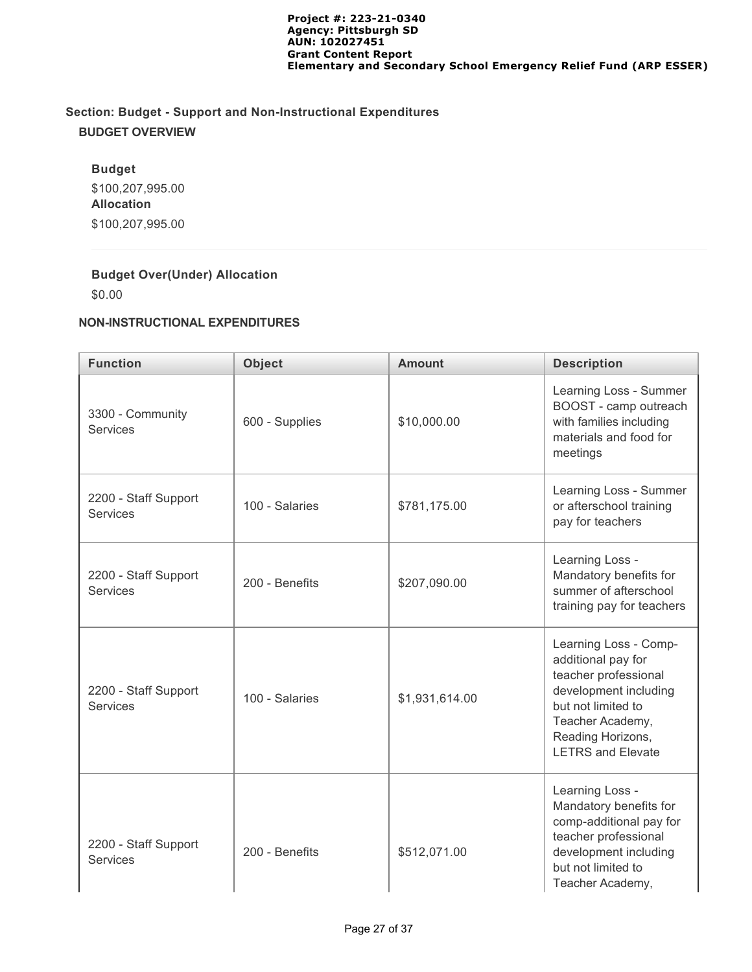# **Section: Budget - Support and Non-Instructional Expenditures BUDGET OVERVIEW**

# **Budget**

\$100,207,995.00 **Allocation** \$100,207,995.00

# **Budget Over(Under) Allocation**

\$0.00

### **NON-INSTRUCTIONAL EXPENDITURES**

| <b>Function</b>                         | <b>Object</b>  | <b>Amount</b>  | <b>Description</b>                                                                                                                                                                      |  |
|-----------------------------------------|----------------|----------------|-----------------------------------------------------------------------------------------------------------------------------------------------------------------------------------------|--|
| 3300 - Community<br><b>Services</b>     | 600 - Supplies | \$10,000.00    | Learning Loss - Summer<br>BOOST - camp outreach<br>with families including<br>materials and food for<br>meetings                                                                        |  |
| 2200 - Staff Support<br><b>Services</b> | 100 - Salaries | \$781,175.00   | Learning Loss - Summer<br>or afterschool training<br>pay for teachers                                                                                                                   |  |
| 2200 - Staff Support<br><b>Services</b> | 200 - Benefits | \$207,090.00   | Learning Loss -<br>Mandatory benefits for<br>summer of afterschool<br>training pay for teachers                                                                                         |  |
| 2200 - Staff Support<br><b>Services</b> | 100 - Salaries | \$1,931,614.00 | Learning Loss - Comp-<br>additional pay for<br>teacher professional<br>development including<br>but not limited to<br>Teacher Academy,<br>Reading Horizons,<br><b>LETRS and Elevate</b> |  |
| 2200 - Staff Support<br><b>Services</b> | 200 - Benefits | \$512,071.00   | Learning Loss -<br>Mandatory benefits for<br>comp-additional pay for<br>teacher professional<br>development including<br>but not limited to<br>Teacher Academy,                         |  |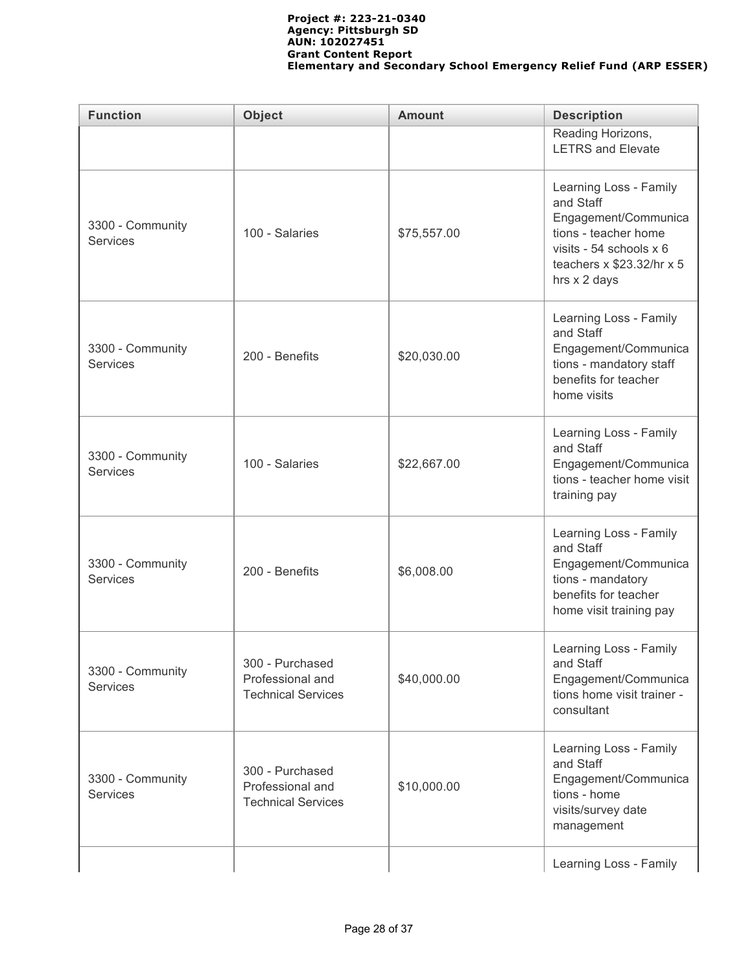| <b>Function</b>                                                                                         | <b>Object</b>                                                    | <b>Amount</b> | <b>Description</b>                                                                                                                                          |
|---------------------------------------------------------------------------------------------------------|------------------------------------------------------------------|---------------|-------------------------------------------------------------------------------------------------------------------------------------------------------------|
|                                                                                                         |                                                                  |               | Reading Horizons,<br><b>LETRS and Elevate</b>                                                                                                               |
| 3300 - Community<br><b>Services</b>                                                                     | 100 - Salaries                                                   | \$75,557.00   | Learning Loss - Family<br>and Staff<br>Engagement/Communica<br>tions - teacher home<br>visits - 54 schools x 6<br>teachers x \$23.32/hr x 5<br>hrs x 2 days |
| 3300 - Community<br><b>Services</b>                                                                     | 200 - Benefits                                                   | \$20,030.00   | Learning Loss - Family<br>and Staff<br>Engagement/Communica<br>tions - mandatory staff<br>benefits for teacher<br>home visits                               |
| 3300 - Community<br><b>Services</b>                                                                     | 100 - Salaries                                                   | \$22,667.00   | Learning Loss - Family<br>and Staff<br>Engagement/Communica<br>tions - teacher home visit<br>training pay                                                   |
| 3300 - Community<br><b>Services</b>                                                                     | 200 - Benefits                                                   | \$6,008.00    | Learning Loss - Family<br>and Staff<br>Engagement/Communica<br>tions - mandatory<br>benefits for teacher<br>home visit training pay                         |
| 3300 - Community<br><b>Services</b>                                                                     | 300 - Purchased<br>Professional and<br><b>Technical Services</b> | \$40,000.00   | Learning Loss - Family<br>and Staff<br>Engagement/Communica<br>tions home visit trainer -<br>consultant                                                     |
| 300 - Purchased<br>3300 - Community<br>Professional and<br><b>Services</b><br><b>Technical Services</b> |                                                                  | \$10,000.00   | Learning Loss - Family<br>and Staff<br>Engagement/Communica<br>tions - home<br>visits/survey date<br>management                                             |
|                                                                                                         |                                                                  |               | Learning Loss - Family                                                                                                                                      |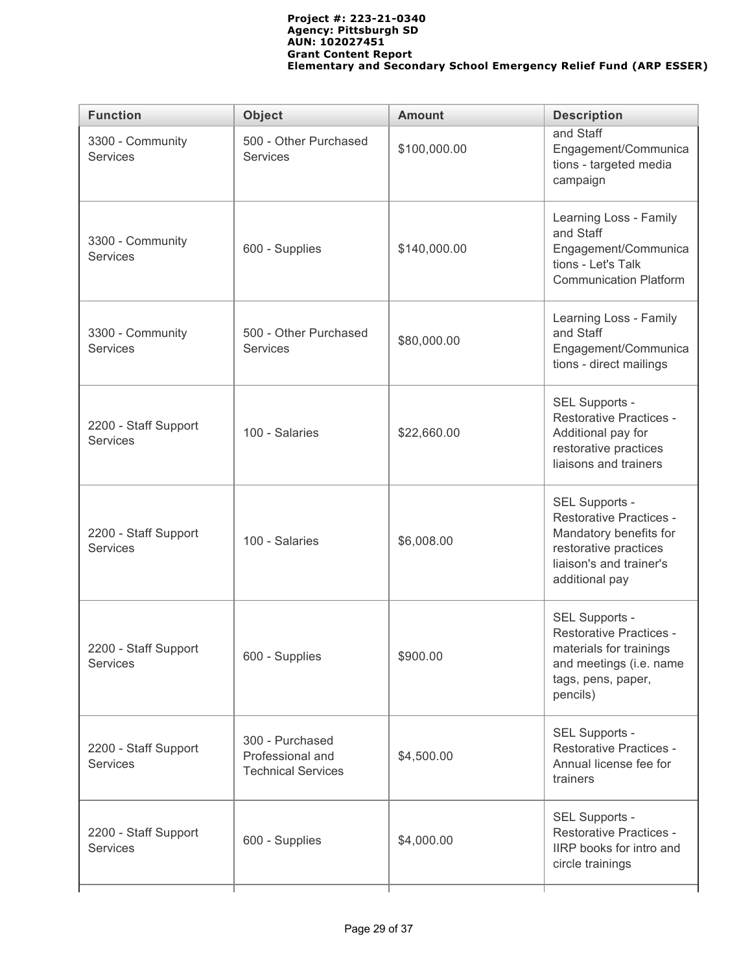| <b>Function</b>                         | <b>Object</b>                                                    | <b>Amount</b> | <b>Description</b>                                                                                                                               |  |  |
|-----------------------------------------|------------------------------------------------------------------|---------------|--------------------------------------------------------------------------------------------------------------------------------------------------|--|--|
| 3300 - Community<br><b>Services</b>     | 500 - Other Purchased<br><b>Services</b>                         | \$100,000.00  | and Staff<br>Engagement/Communica<br>tions - targeted media<br>campaign                                                                          |  |  |
| 3300 - Community<br><b>Services</b>     | 600 - Supplies                                                   | \$140,000.00  | Learning Loss - Family<br>and Staff<br>Engagement/Communica<br>tions - Let's Talk<br><b>Communication Platform</b>                               |  |  |
| 3300 - Community<br><b>Services</b>     | 500 - Other Purchased<br><b>Services</b>                         | \$80,000.00   | Learning Loss - Family<br>and Staff<br>Engagement/Communica<br>tions - direct mailings                                                           |  |  |
| 2200 - Staff Support<br><b>Services</b> | 100 - Salaries                                                   | \$22,660.00   | SEL Supports -<br><b>Restorative Practices -</b><br>Additional pay for<br>restorative practices<br>liaisons and trainers                         |  |  |
| 2200 - Staff Support<br>Services        | 100 - Salaries                                                   | \$6,008.00    | SEL Supports -<br><b>Restorative Practices -</b><br>Mandatory benefits for<br>restorative practices<br>liaison's and trainer's<br>additional pay |  |  |
| 2200 - Staff Support<br><b>Services</b> | 600 - Supplies                                                   | \$900.00      | SEL Supports -<br><b>Restorative Practices -</b><br>materials for trainings<br>and meetings (i.e. name<br>tags, pens, paper,<br>pencils)         |  |  |
| 2200 - Staff Support<br><b>Services</b> | 300 - Purchased<br>Professional and<br><b>Technical Services</b> | \$4,500.00    | SEL Supports -<br><b>Restorative Practices -</b><br>Annual license fee for<br>trainers                                                           |  |  |
| 2200 - Staff Support<br><b>Services</b> | 600 - Supplies                                                   | \$4,000.00    | SEL Supports -<br><b>Restorative Practices -</b><br>IIRP books for intro and<br>circle trainings                                                 |  |  |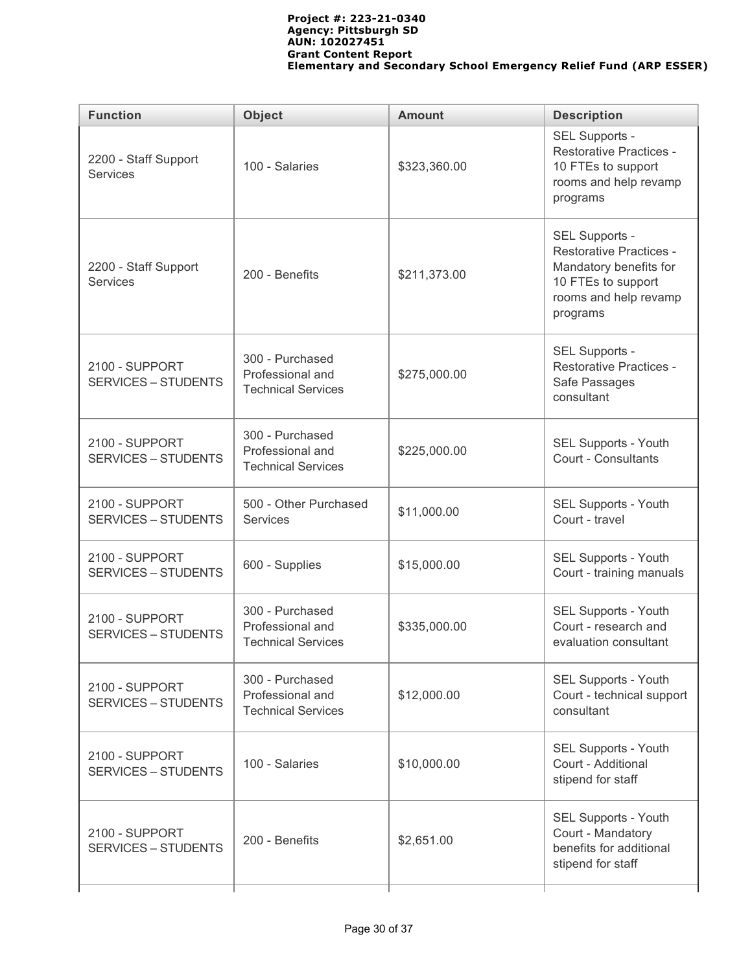| <b>Function</b>                              | <b>Object</b>                                                    | <b>Amount</b>                                                                  | <b>Description</b>                                                                                                                    |  |  |
|----------------------------------------------|------------------------------------------------------------------|--------------------------------------------------------------------------------|---------------------------------------------------------------------------------------------------------------------------------------|--|--|
| 2200 - Staff Support<br><b>Services</b>      | 100 - Salaries                                                   | \$323,360.00                                                                   | SEL Supports -<br><b>Restorative Practices -</b><br>10 FTEs to support<br>rooms and help revamp<br>programs                           |  |  |
| 2200 - Staff Support<br><b>Services</b>      | 200 - Benefits                                                   | \$211,373.00                                                                   | SEL Supports -<br><b>Restorative Practices -</b><br>Mandatory benefits for<br>10 FTEs to support<br>rooms and help revamp<br>programs |  |  |
| 2100 - SUPPORT<br><b>SERVICES - STUDENTS</b> | 300 - Purchased<br>Professional and<br><b>Technical Services</b> | \$275,000.00                                                                   | SEL Supports -<br><b>Restorative Practices -</b><br>Safe Passages<br>consultant                                                       |  |  |
| 2100 - SUPPORT<br><b>SERVICES - STUDENTS</b> | 300 - Purchased<br>Professional and<br><b>Technical Services</b> | \$225,000.00                                                                   | SEL Supports - Youth<br>Court - Consultants                                                                                           |  |  |
| 2100 - SUPPORT<br><b>SERVICES - STUDENTS</b> | 500 - Other Purchased<br><b>Services</b>                         | \$11,000.00                                                                    | SEL Supports - Youth<br>Court - travel                                                                                                |  |  |
| 2100 - SUPPORT<br><b>SERVICES - STUDENTS</b> | 600 - Supplies                                                   | \$15,000.00                                                                    | SEL Supports - Youth<br>Court - training manuals                                                                                      |  |  |
| 2100 - SUPPORT<br><b>SERVICES - STUDENTS</b> | 300 - Purchased<br>Professional and<br><b>Technical Services</b> | \$335,000.00                                                                   | SEL Supports - Youth<br>Court - research and<br>evaluation consultant                                                                 |  |  |
| 2100 - SUPPORT<br><b>SERVICES - STUDENTS</b> | 300 - Purchased<br>Professional and<br><b>Technical Services</b> | \$12,000.00                                                                    | SEL Supports - Youth<br>Court - technical support<br>consultant                                                                       |  |  |
| 2100 - SUPPORT<br><b>SERVICES - STUDENTS</b> | 100 - Salaries                                                   | SEL Supports - Youth<br>Court - Additional<br>\$10,000.00<br>stipend for staff |                                                                                                                                       |  |  |
| 2100 - SUPPORT<br><b>SERVICES - STUDENTS</b> | 200 - Benefits                                                   | \$2,651.00                                                                     | SEL Supports - Youth<br>Court - Mandatory<br>benefits for additional<br>stipend for staff                                             |  |  |
|                                              |                                                                  |                                                                                |                                                                                                                                       |  |  |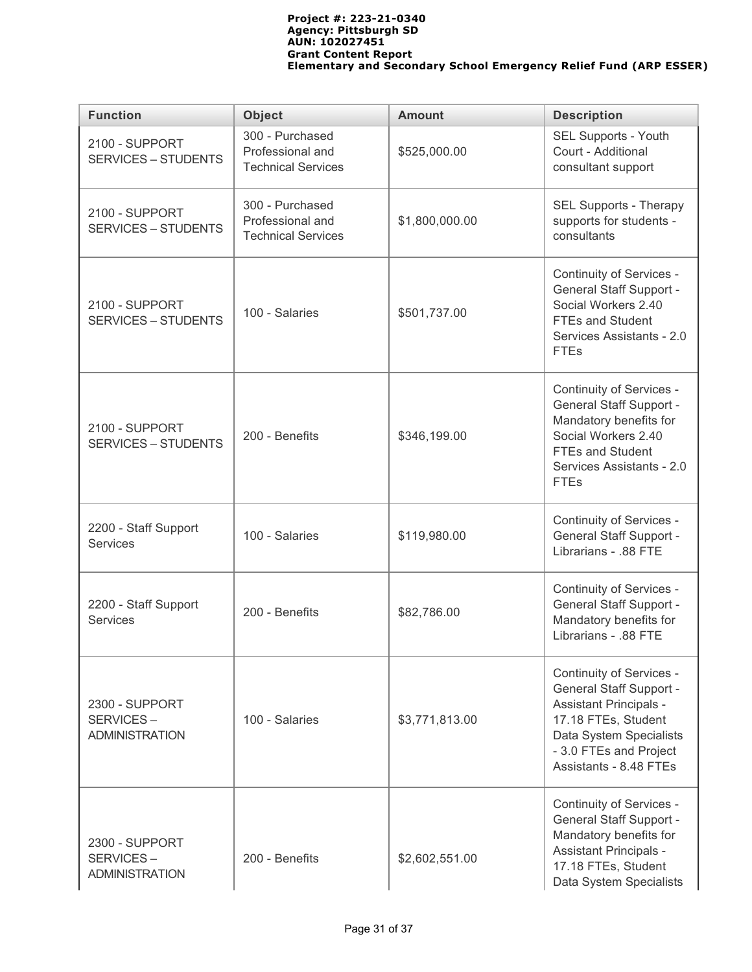| <b>Function</b>                                             | <b>Object</b>                                                    | <b>Amount</b>                                                    | <b>Description</b>                                                                                                                                                                                |  |
|-------------------------------------------------------------|------------------------------------------------------------------|------------------------------------------------------------------|---------------------------------------------------------------------------------------------------------------------------------------------------------------------------------------------------|--|
| 2100 - SUPPORT<br><b>SERVICES - STUDENTS</b>                | 300 - Purchased<br>Professional and<br><b>Technical Services</b> | \$525,000.00                                                     | SEL Supports - Youth<br>Court - Additional<br>consultant support                                                                                                                                  |  |
| 2100 - SUPPORT<br><b>SERVICES - STUDENTS</b>                | 300 - Purchased<br>Professional and<br><b>Technical Services</b> | SEL Supports - Therapy<br>supports for students -<br>consultants |                                                                                                                                                                                                   |  |
| 2100 - SUPPORT<br><b>SERVICES - STUDENTS</b>                | 100 - Salaries                                                   | \$501,737.00                                                     | Continuity of Services -<br><b>General Staff Support -</b><br>Social Workers 2.40<br><b>FTEs and Student</b><br>Services Assistants - 2.0<br><b>FTEs</b>                                          |  |
| 2100 - SUPPORT<br><b>SERVICES - STUDENTS</b>                | 200 - Benefits<br>\$346,199.00                                   |                                                                  | Continuity of Services -<br><b>General Staff Support -</b><br>Mandatory benefits for<br>Social Workers 2.40<br><b>FTEs and Student</b><br>Services Assistants - 2.0<br><b>FTEs</b>                |  |
| 2200 - Staff Support<br><b>Services</b>                     | 100 - Salaries                                                   | \$119,980.00                                                     | Continuity of Services -<br><b>General Staff Support -</b><br>Librarians - .88 FTE                                                                                                                |  |
| 2200 - Staff Support<br>Services                            | 200 - Benefits                                                   | \$82,786.00                                                      | Continuity of Services -<br><b>General Staff Support -</b><br>Mandatory benefits for<br>Librarians - .88 FTE                                                                                      |  |
| <b>2300 - SUPPORT</b><br>SERVICES-<br><b>ADMINISTRATION</b> | 100 - Salaries                                                   |                                                                  | Continuity of Services -<br><b>General Staff Support -</b><br><b>Assistant Principals -</b><br>17.18 FTEs, Student<br>Data System Specialists<br>- 3.0 FTEs and Project<br>Assistants - 8.48 FTEs |  |
| 2300 - SUPPORT<br>SERVICES-<br><b>ADMINISTRATION</b>        | 200 - Benefits                                                   | \$2,602,551.00                                                   | Continuity of Services -<br><b>General Staff Support -</b><br>Mandatory benefits for<br><b>Assistant Principals -</b><br>17.18 FTEs, Student<br>Data System Specialists                           |  |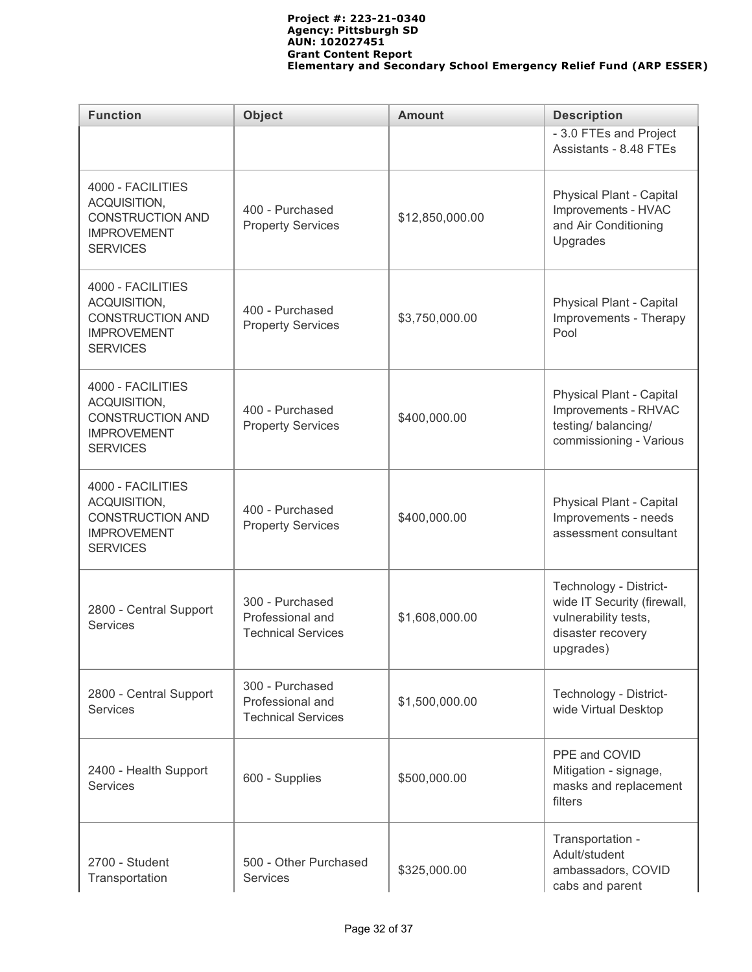| <b>Function</b>                                                                                       | <b>Object</b>                                                    | <b>Amount</b>                                              | <b>Description</b>                                                                                              |  |  |
|-------------------------------------------------------------------------------------------------------|------------------------------------------------------------------|------------------------------------------------------------|-----------------------------------------------------------------------------------------------------------------|--|--|
|                                                                                                       |                                                                  |                                                            | - 3.0 FTEs and Project<br>Assistants - 8.48 FTEs                                                                |  |  |
| 4000 - FACILITIES<br>ACQUISITION,<br><b>CONSTRUCTION AND</b><br><b>IMPROVEMENT</b><br><b>SERVICES</b> | 400 - Purchased<br><b>Property Services</b>                      | \$12,850,000.00                                            |                                                                                                                 |  |  |
| 4000 - FACILITIES<br>ACQUISITION,<br><b>CONSTRUCTION AND</b><br><b>IMPROVEMENT</b><br><b>SERVICES</b> | 400 - Purchased<br><b>Property Services</b>                      | Physical Plant - Capital<br>Improvements - Therapy<br>Pool |                                                                                                                 |  |  |
| 4000 - FACILITIES<br>ACQUISITION,<br><b>CONSTRUCTION AND</b><br><b>IMPROVEMENT</b><br><b>SERVICES</b> | 400 - Purchased<br><b>Property Services</b>                      | \$400,000.00                                               |                                                                                                                 |  |  |
| 4000 - FACILITIES<br>ACQUISITION,<br><b>CONSTRUCTION AND</b><br><b>IMPROVEMENT</b><br><b>SERVICES</b> | 400 - Purchased<br><b>Property Services</b>                      | \$400,000.00                                               | Physical Plant - Capital<br>Improvements - needs<br>assessment consultant                                       |  |  |
| 2800 - Central Support<br><b>Services</b>                                                             | 300 - Purchased<br>Professional and<br><b>Technical Services</b> | \$1,608,000.00                                             | Technology - District-<br>wide IT Security (firewall,<br>vulnerability tests,<br>disaster recovery<br>upgrades) |  |  |
| 2800 - Central Support<br><b>Services</b>                                                             | 300 - Purchased<br>Professional and<br><b>Technical Services</b> | \$1,500,000.00                                             | Technology - District-<br>wide Virtual Desktop                                                                  |  |  |
| 2400 - Health Support<br>Services                                                                     | 600 - Supplies                                                   | \$500,000.00                                               | PPE and COVID<br>Mitigation - signage,<br>masks and replacement<br>filters                                      |  |  |
| 2700 - Student<br>Transportation                                                                      | 500 - Other Purchased<br><b>Services</b>                         | \$325,000.00                                               | Transportation -<br>Adult/student<br>ambassadors, COVID<br>cabs and parent                                      |  |  |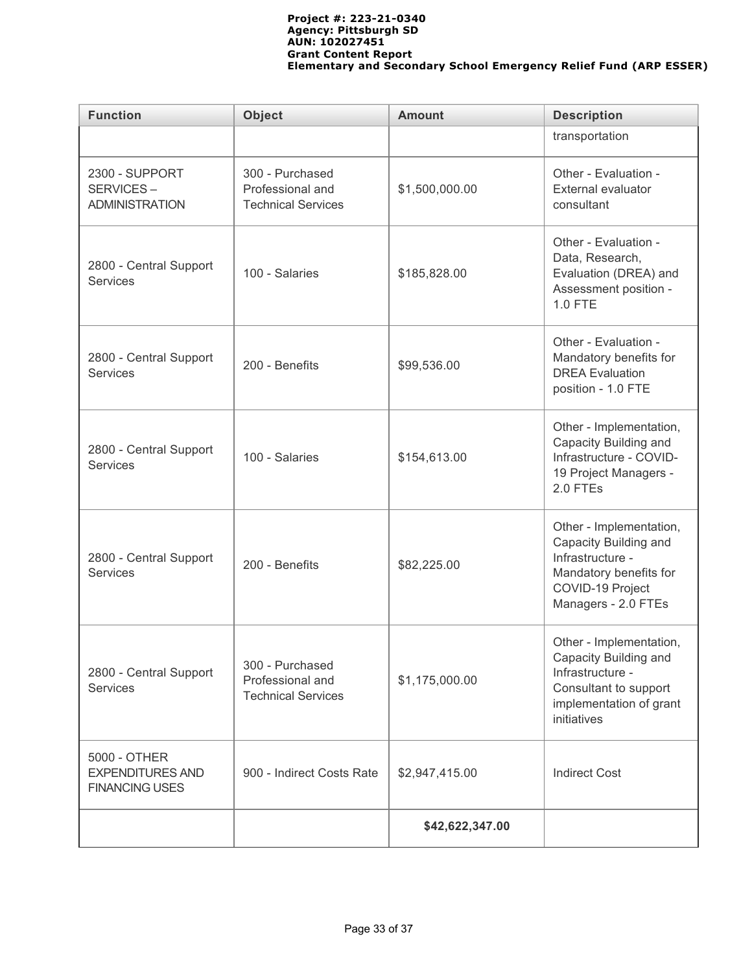| <b>Function</b>                                                  | <b>Object</b>                                                    | <b>Amount</b>                                                                                                                                             | <b>Description</b>                                                                                                                        |
|------------------------------------------------------------------|------------------------------------------------------------------|-----------------------------------------------------------------------------------------------------------------------------------------------------------|-------------------------------------------------------------------------------------------------------------------------------------------|
|                                                                  |                                                                  |                                                                                                                                                           | transportation                                                                                                                            |
| 2300 - SUPPORT<br>SERVICES-<br><b>ADMINISTRATION</b>             | 300 - Purchased<br>Professional and<br><b>Technical Services</b> | \$1,500,000.00                                                                                                                                            | Other - Evaluation -<br><b>External evaluator</b><br>consultant                                                                           |
| 2800 - Central Support<br><b>Services</b>                        | 100 - Salaries                                                   | \$185,828.00                                                                                                                                              | Other - Evaluation -<br>Data, Research,<br>Evaluation (DREA) and<br>Assessment position -<br>1.0 FTE                                      |
| 2800 - Central Support<br><b>Services</b>                        | 200 - Benefits                                                   | \$99,536.00                                                                                                                                               | Other - Evaluation -<br>Mandatory benefits for<br><b>DREA Evaluation</b><br>position - 1.0 FTE                                            |
| 2800 - Central Support<br><b>Services</b>                        | 100 - Salaries                                                   | \$154,613.00                                                                                                                                              | Other - Implementation,<br>Capacity Building and<br>Infrastructure - COVID-<br>19 Project Managers -<br>2.0 FTEs                          |
| 2800 - Central Support<br><b>Services</b>                        | 200 - Benefits                                                   | \$82,225.00                                                                                                                                               | Other - Implementation,<br>Capacity Building and<br>Infrastructure -<br>Mandatory benefits for<br>COVID-19 Project<br>Managers - 2.0 FTEs |
| 2800 - Central Support<br><b>Services</b>                        | 300 - Purchased<br>Professional and<br><b>Technical Services</b> | Other - Implementation,<br>Capacity Building and<br>Infrastructure -<br>\$1,175,000.00<br>Consultant to support<br>implementation of grant<br>initiatives |                                                                                                                                           |
| 5000 - OTHER<br><b>EXPENDITURES AND</b><br><b>FINANCING USES</b> | 900 - Indirect Costs Rate                                        | \$2,947,415.00<br><b>Indirect Cost</b>                                                                                                                    |                                                                                                                                           |
|                                                                  |                                                                  | \$42,622,347.00                                                                                                                                           |                                                                                                                                           |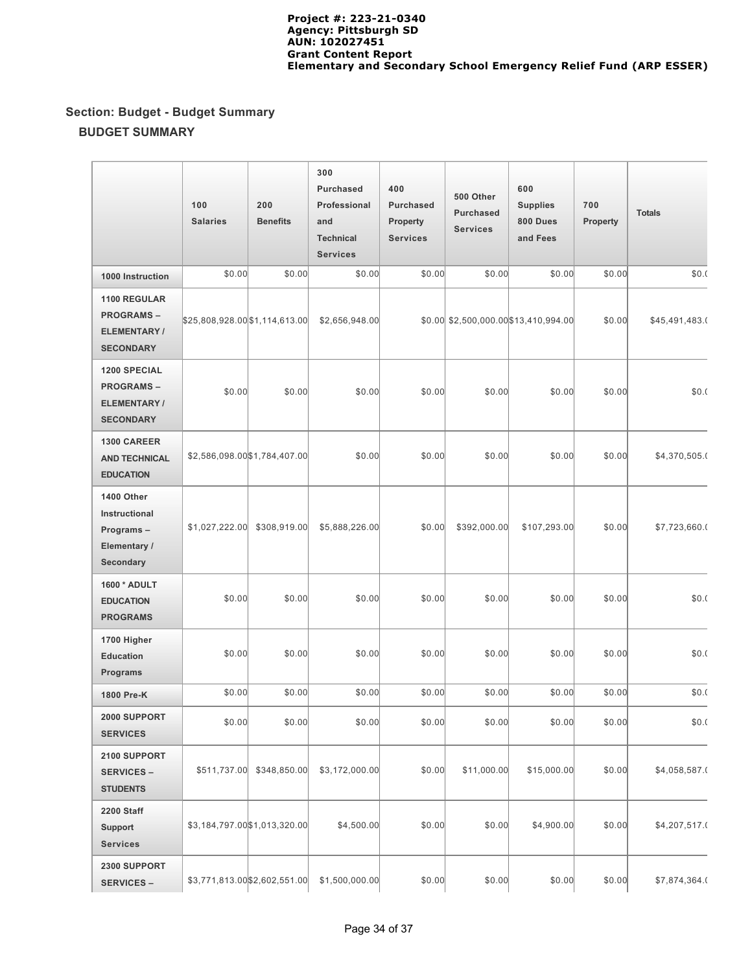# **Section: Budget - Budget Summary BUDGET SUMMARY**

|                                                                                   | 100<br><b>Salaries</b>        | 200<br><b>Benefits</b>        | 300<br><b>Purchased</b><br>Professional<br>and<br><b>Technical</b><br><b>Services</b> | 400<br><b>Purchased</b><br>Property<br><b>Services</b> | 500 Other<br><b>Purchased</b><br><b>Services</b> | 600<br><b>Supplies</b><br>800 Dues<br>and Fees | 700<br><b>Property</b> | <b>Totals</b>  |
|-----------------------------------------------------------------------------------|-------------------------------|-------------------------------|---------------------------------------------------------------------------------------|--------------------------------------------------------|--------------------------------------------------|------------------------------------------------|------------------------|----------------|
| 1000 Instruction                                                                  | \$0.00                        | \$0.00                        | \$0.00                                                                                | \$0.00                                                 | \$0.00                                           | \$0.00                                         | \$0.00                 | \$0.(          |
| <b>1100 REGULAR</b><br><b>PROGRAMS-</b><br>ELEMENTARY/<br><b>SECONDARY</b>        | \$25,808,928.00\$1,114,613.00 |                               | \$2,656,948.00                                                                        |                                                        |                                                  | $$0.00$ $$2,500,000.00$ $$13,410,994.00$       | \$0.00                 | \$45,491,483.0 |
| <b>1200 SPECIAL</b><br><b>PROGRAMS-</b><br><b>ELEMENTARY/</b><br><b>SECONDARY</b> | \$0.00                        | \$0.00                        | \$0.00                                                                                | \$0.00                                                 | \$0.00                                           | \$0.00                                         | \$0.00                 | \$0.(          |
| <b>1300 CAREER</b><br><b>AND TECHNICAL</b><br><b>EDUCATION</b>                    |                               | \$2,586,098.00 \$1,784,407.00 | \$0.00                                                                                | \$0.00                                                 | \$0.00                                           | \$0.00                                         | \$0.00                 | \$4,370,505.0  |
| 1400 Other<br>Instructional<br>Programs-<br>Elementary /<br><b>Secondary</b>      | \$1,027,222.00                | \$308,919.00                  | \$5,888,226.00                                                                        | \$0.00                                                 | \$392,000.00                                     | \$107,293.00                                   | \$0.00                 | \$7,723,660.0  |
| 1600 * ADULT<br><b>EDUCATION</b><br><b>PROGRAMS</b>                               | \$0.00                        | \$0.00                        | \$0.00                                                                                | \$0.00                                                 | \$0.00                                           | \$0.00                                         | \$0.00                 | \$0.(          |
| 1700 Higher<br><b>Education</b><br><b>Programs</b>                                | \$0.00                        | \$0.00                        | \$0.00                                                                                | \$0.00                                                 | \$0.00                                           | \$0.00                                         | \$0.00                 | \$0.(          |
| 1800 Pre-K                                                                        | \$0.00                        | \$0.00                        | \$0.00                                                                                | \$0.00                                                 | \$0.00                                           | \$0.00                                         | \$0.00                 | \$0.(          |
| 2000 SUPPORT<br><b>SERVICES</b>                                                   | \$0.00                        | \$0.00                        | \$0.00                                                                                | \$0.00                                                 | \$0.00                                           | \$0.00                                         | \$0.00                 | \$0.(          |
| 2100 SUPPORT<br><b>SERVICES -</b><br><b>STUDENTS</b>                              | \$511,737.00                  | \$348,850.00                  | \$3,172,000.00                                                                        | \$0.00                                                 | \$11,000.00                                      | \$15,000.00                                    | \$0.00                 | \$4,058,587.0  |
| <b>2200 Staff</b><br>Support<br><b>Services</b>                                   |                               | \$3,184,797.00 \$1,013,320.00 | \$4,500.00                                                                            | \$0.00                                                 | \$0.00                                           | \$4,900.00                                     | \$0.00                 | \$4,207,517.0  |
| 2300 SUPPORT<br><b>SERVICES -</b>                                                 |                               | \$3,771,813.00 \$2,602,551.00 | \$1,500,000.00                                                                        | \$0.00                                                 | \$0.00                                           | \$0.00                                         | \$0.00                 | \$7,874,364.0  |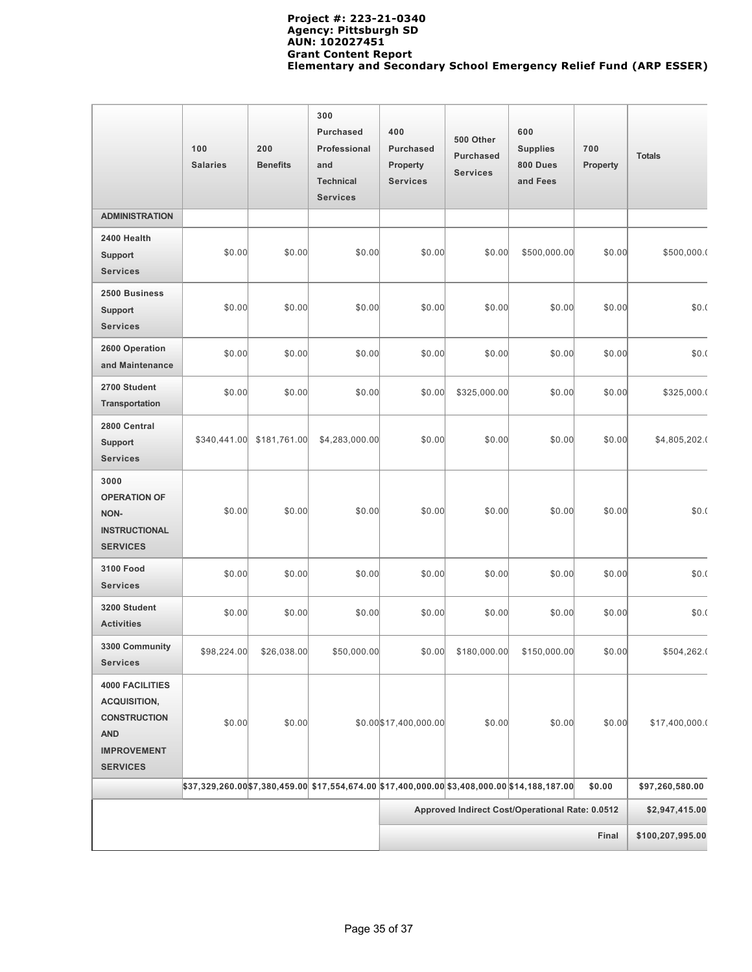|                                                                                                                             | 100<br><b>Salaries</b> | 200<br><b>Benefits</b> | 300<br><b>Purchased</b><br>Professional<br>and<br><b>Technical</b><br><b>Services</b>      | 400<br><b>Purchased</b><br>Property<br><b>Services</b> | 500 Other<br><b>Purchased</b><br><b>Services</b> | 600<br><b>Supplies</b><br>800 Dues<br>and Fees | 700<br>Property | <b>Totals</b>   |
|-----------------------------------------------------------------------------------------------------------------------------|------------------------|------------------------|--------------------------------------------------------------------------------------------|--------------------------------------------------------|--------------------------------------------------|------------------------------------------------|-----------------|-----------------|
| <b>ADMINISTRATION</b>                                                                                                       |                        |                        |                                                                                            |                                                        |                                                  |                                                |                 |                 |
| 2400 Health<br><b>Support</b><br><b>Services</b>                                                                            | \$0.00                 | \$0.00                 | \$0.00                                                                                     | \$0.00                                                 | \$0.00                                           | \$500,000.00                                   | \$0.00          | \$500,000.0     |
| 2500 Business<br>Support<br><b>Services</b>                                                                                 | \$0.00                 | \$0.00                 | \$0.00                                                                                     | \$0.00                                                 | \$0.00                                           | \$0.00                                         | \$0.00          | \$0.(           |
| 2600 Operation<br>and Maintenance                                                                                           | \$0.00                 | \$0.00                 | \$0.00                                                                                     | \$0.00                                                 | \$0.00                                           | \$0.00                                         | \$0.00          | \$0.(           |
| 2700 Student<br>Transportation                                                                                              | \$0.00                 | \$0.00                 | \$0.00                                                                                     | \$0.00                                                 | \$325,000.00                                     | \$0.00                                         | \$0.00          | \$325,000.0     |
| 2800 Central<br><b>Support</b><br><b>Services</b>                                                                           | \$340,441.00           | \$181,761.00           | \$4,283,000.00                                                                             | \$0.00                                                 | \$0.00                                           | \$0.00                                         | \$0.00          | \$4,805,202.0   |
| 3000<br><b>OPERATION OF</b><br>NON-<br><b>INSTRUCTIONAL</b><br><b>SERVICES</b>                                              | \$0.00                 | \$0.00                 | \$0.00                                                                                     | \$0.00                                                 | \$0.00                                           | \$0.00                                         | \$0.00          | \$0.(           |
| <b>3100 Food</b><br><b>Services</b>                                                                                         | \$0.00                 | \$0.00                 | \$0.00                                                                                     | \$0.00                                                 | \$0.00                                           | \$0.00                                         | \$0.00          | \$0.(           |
| 3200 Student<br><b>Activities</b>                                                                                           | \$0.00                 | \$0.00                 | \$0.00                                                                                     | \$0.00                                                 | \$0.00                                           | \$0.00                                         | \$0.00          | \$0.(           |
| 3300 Community<br><b>Services</b>                                                                                           | \$98,224.00            | \$26,038.00            | \$50,000.00                                                                                | \$0.00                                                 | \$180,000.00                                     | \$150,000.00                                   | \$0.00          | \$504,262.0     |
| <b>4000 FACILITIES</b><br><b>ACQUISITION,</b><br><b>CONSTRUCTION</b><br><b>AND</b><br><b>IMPROVEMENT</b><br><b>SERVICES</b> | \$0.00                 | \$0.00                 |                                                                                            | \$0.00\$17,400,000.00                                  | \$0.00                                           | \$0.00                                         | \$0.00          | \$17,400,000.0  |
|                                                                                                                             |                        |                        | $ $37,329,260.00 $7,380,459.00 $17,554,674.00 $17,400,000.00 $3,408,000.00 $14,188,187.00$ |                                                        |                                                  |                                                | \$0.00          | \$97,260,580.00 |
|                                                                                                                             |                        |                        |                                                                                            | Approved Indirect Cost/Operational Rate: 0.0512        |                                                  |                                                |                 | \$2,947,415.00  |
|                                                                                                                             | Final                  |                        |                                                                                            |                                                        | \$100,207,995.00                                 |                                                |                 |                 |